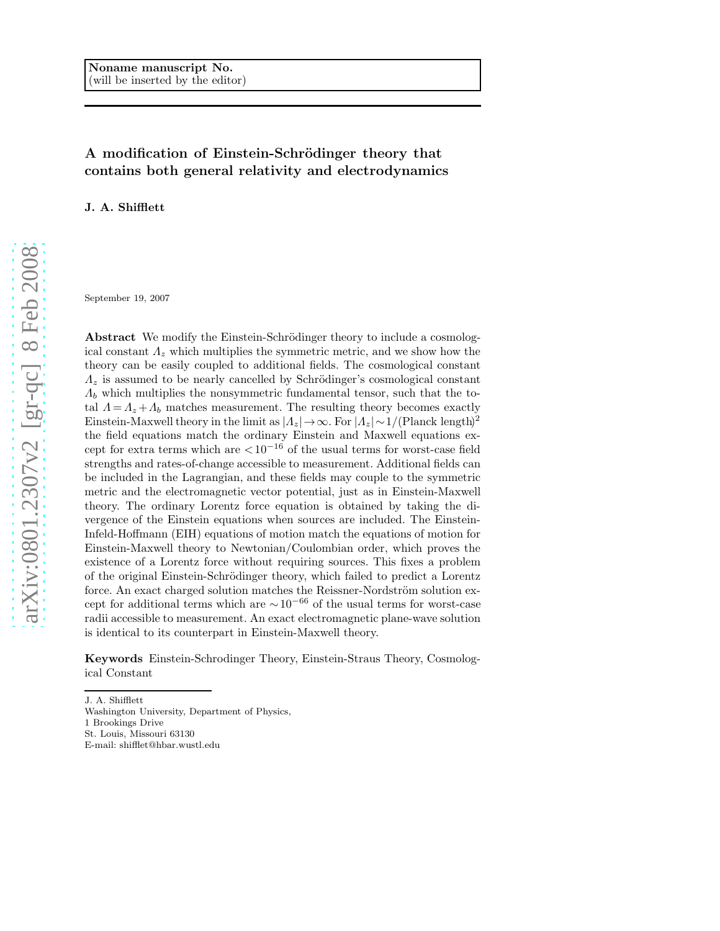# A modification of Einstein-Schrödinger theory that contains both general relativity and electrodynamics

J. A. Shifflett

September 19, 2007

Abstract We modify the Einstein-Schrödinger theory to include a cosmological constant  $\Lambda_z$  which multiplies the symmetric metric, and we show how the theory can be easily coupled to additional fields. The cosmological constant  $\Lambda_z$  is assumed to be nearly cancelled by Schrödinger's cosmological constant  $\Lambda_b$  which multiplies the nonsymmetric fundamental tensor, such that the total  $\Lambda = \Lambda_z + \Lambda_b$  matches measurement. The resulting theory becomes exactly Einstein-Maxwell theory in the limit as  $|A_z| \to \infty$ . For  $|A_z| \sim 1/(\text{Planck length})^2$ the field equations match the ordinary Einstein and Maxwell equations except for extra terms which are  $\langle 10^{-16}$  of the usual terms for worst-case field strengths and rates-of-change accessible to measurement. Additional fields can be included in the Lagrangian, and these fields may couple to the symmetric metric and the electromagnetic vector potential, just as in Einstein-Maxwell theory. The ordinary Lorentz force equation is obtained by taking the divergence of the Einstein equations when sources are included. The Einstein-Infeld-Hoffmann (EIH) equations of motion match the equations of motion for Einstein-Maxwell theory to Newtonian/Coulombian order, which proves the existence of a Lorentz force without requiring sources. This fixes a problem of the original Einstein-Schrödinger theory, which failed to predict a Lorentz force. An exact charged solution matches the Reissner-Nordström solution except for additional terms which are  $\sim 10^{-66}$  of the usual terms for worst-case radii accessible to measurement. An exact electromagnetic plane-wave solution is identical to its counterpart in Einstein-Maxwell theory.

Keywords Einstein-Schrodinger Theory, Einstein-Straus Theory, Cosmological Constant

J. A. Shifflett

Washington University, Department of Physics,

St. Louis, Missouri 63130 E-mail: shifflet@hbar.wustl.edu

<sup>1</sup> Brookings Drive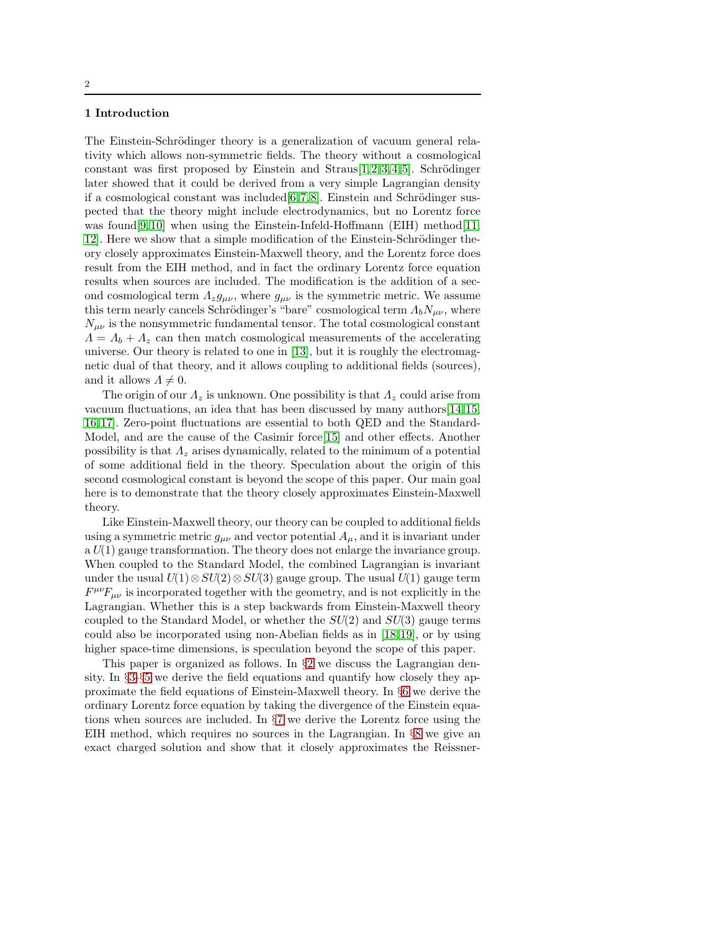#### 1 Introduction

The Einstein-Schrödinger theory is a generalization of vacuum general relativity which allows non-symmetric fields. The theory without a cosmological constant was first proposed by Einstein and Straus[\[1,](#page-21-0)[2,](#page-21-1)[3,](#page-21-2)[4,](#page-21-3)[5\]](#page-21-4). Schrödinger later showed that it could be derived from a very simple Lagrangian density if a cosmological constant was included  $[6,7,8]$  $[6,7,8]$  $[6,7,8]$ . Einstein and Schrödinger suspected that the theory might include electrodynamics, but no Lorentz force was found $[9,10]$  $[9,10]$  when using the Einstein-Infeld-Hoffmann (EIH) method $[11,$ 12. Here we show that a simple modification of the Einstein-Schrödinger theory closely approximates Einstein-Maxwell theory, and the Lorentz force does result from the EIH method, and in fact the ordinary Lorentz force equation results when sources are included. The modification is the addition of a second cosmological term  $\Lambda_z g_{\mu\nu}$ , where  $g_{\mu\nu}$  is the symmetric metric. We assume this term nearly cancels Schrödinger's "bare" cosmological term  $\Lambda_b N_{\mu\nu}$ , where  $N_{\mu\nu}$  is the nonsymmetric fundamental tensor. The total cosmological constant  $\Lambda = \Lambda_b + \Lambda_z$  can then match cosmological measurements of the accelerating universe. Our theory is related to one in [\[13\]](#page-21-12), but it is roughly the electromagnetic dual of that theory, and it allows coupling to additional fields (sources), and it allows  $\Lambda \neq 0$ .

The origin of our  $\Lambda_z$  is unknown. One possibility is that  $\Lambda_z$  could arise from vacuum fluctuations, an idea that has been discussed by many authors[\[14,](#page-21-13)[15,](#page-21-14) [16,](#page-21-15)[17\]](#page-21-16). Zero-point fluctuations are essential to both QED and the Standard-Model, and are the cause of the Casimir force[\[15\]](#page-21-14) and other effects. Another possibility is that  $\Lambda_z$  arises dynamically, related to the minimum of a potential of some additional field in the theory. Speculation about the origin of this second cosmological constant is beyond the scope of this paper. Our main goal here is to demonstrate that the theory closely approximates Einstein-Maxwell theory.

Like Einstein-Maxwell theory, our theory can be coupled to additional fields using a symmetric metric  $g_{\mu\nu}$  and vector potential  $A_{\mu}$ , and it is invariant under  $a U(1)$  gauge transformation. The theory does not enlarge the invariance group. When coupled to the Standard Model, the combined Lagrangian is invariant under the usual  $U(1) \otimes SU(2) \otimes SU(3)$  gauge group. The usual  $U(1)$  gauge term  $F^{\mu\nu}F_{\mu\nu}$  is incorporated together with the geometry, and is not explicitly in the Lagrangian. Whether this is a step backwards from Einstein-Maxwell theory coupled to the Standard Model, or whether the  $SU(2)$  and  $SU(3)$  gauge terms could also be incorporated using non-Abelian fields as in [\[18,](#page-21-17)[19\]](#page-21-18), or by using higher space-time dimensions, is speculation beyond the scope of this paper.

This paper is organized as follows. In §[2](#page-2-0) we discuss the Lagrangian density. In §[3-](#page-5-0)§[5](#page-8-0) we derive the field equations and quantify how closely they approximate the field equations of Einstein-Maxwell theory. In §[6](#page-12-0) we derive the ordinary Lorentz force equation by taking the divergence of the Einstein equations when sources are included. In §[7](#page-12-1) we derive the Lorentz force using the EIH method, which requires no sources in the Lagrangian. In §[8](#page-17-0) we give an exact charged solution and show that it closely approximates the Reissner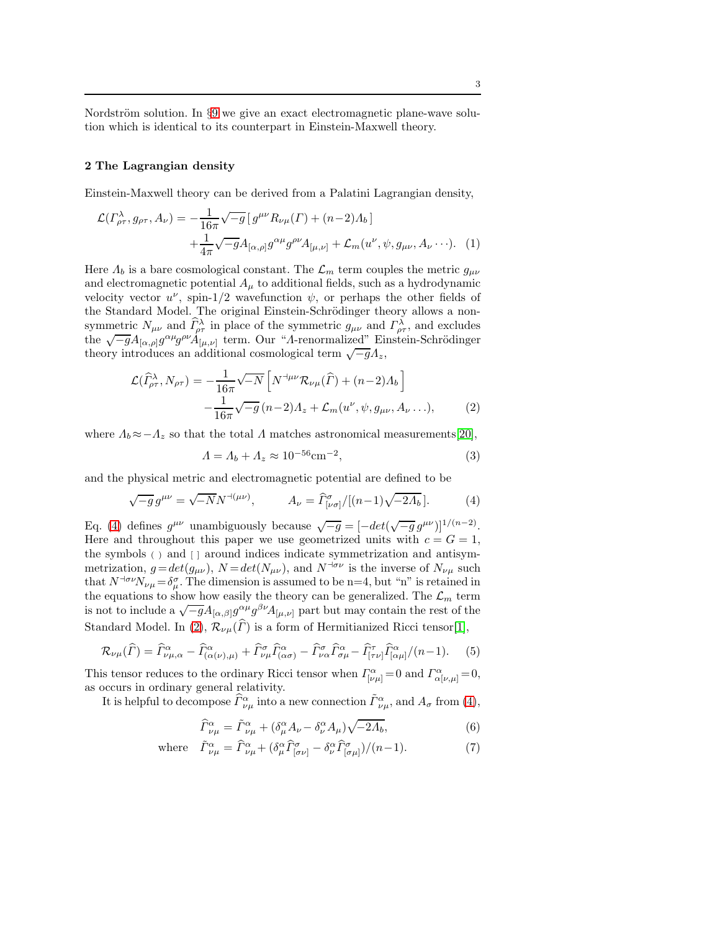Nordström solution. In  $\S 9$  $\S 9$  we give an exact electromagnetic plane-wave solution which is identical to its counterpart in Einstein-Maxwell theory.

#### <span id="page-2-0"></span>2 The Lagrangian density

Einstein-Maxwell theory can be derived from a Palatini Lagrangian density,

<span id="page-2-6"></span>
$$
\mathcal{L}(\Gamma^{\lambda}_{\rho\tau}, g_{\rho\tau}, A_{\nu}) = -\frac{1}{16\pi} \sqrt{-g} \left[ g^{\mu\nu} R_{\nu\mu}(\Gamma) + (n-2) A_b \right] \n+ \frac{1}{4\pi} \sqrt{-g} A_{[\alpha,\rho]} g^{\alpha\mu} g^{\rho\nu} A_{[\mu,\nu]} + \mathcal{L}_m(u^{\nu}, \psi, g_{\mu\nu}, A_{\nu} \cdots). \tag{1}
$$

Here  $\Lambda_b$  is a bare cosmological constant. The  $\mathcal{L}_m$  term couples the metric  $g_{\mu\nu}$ and electromagnetic potential  $A_{\mu}$  to additional fields, such as a hydrodynamic velocity vector  $u^{\nu}$ , spin-1/2 wavefunction  $\psi$ , or perhaps the other fields of the Standard Model. The original Einstein-Schrödinger theory allows a nonsymmetric  $N_{\mu\nu}$  and  $\hat{\Gamma}^{\lambda}_{\rho\tau}$  in place of the symmetric  $g_{\mu\nu}$  and  $\Gamma^{\lambda}_{\rho\tau}$ , and excludes the  $\sqrt{-g}A_{\lbrack\alpha,\rho]}g^{\alpha\mu}g^{\rho\nu}A_{\lbrack\mu,\nu]}^{m}$  term. Our "A-renormalized" Einstein-Schrödinger theory introduces an additional cosmological term  $\sqrt{-g}A_z$ ,

<span id="page-2-2"></span>
$$
\mathcal{L}(\widehat{\Gamma}_{\rho\tau}^{\lambda}, N_{\rho\tau}) = -\frac{1}{16\pi} \sqrt{-N} \left[ N^{+\mu\nu} \mathcal{R}_{\nu\mu}(\widehat{\Gamma}) + (n-2) \Lambda_b \right] -\frac{1}{16\pi} \sqrt{-g} (n-2) \Lambda_z + \mathcal{L}_m(u^{\nu}, \psi, g_{\mu\nu}, A_{\nu} \ldots),
$$
 (2)

where  $\Lambda_b \approx -\Lambda_z$  so that the total  $\Lambda$  matches astronomical measurements[\[20\]](#page-21-19),

<span id="page-2-5"></span>
$$
A = A_b + A_z \approx 10^{-56} \text{cm}^{-2},\tag{3}
$$

and the physical metric and electromagnetic potential are defined to be

<span id="page-2-1"></span>
$$
\sqrt{-g} \, g^{\mu\nu} = \sqrt{-N} N^{-(\mu\nu)}, \qquad A_{\nu} = \widehat{\Gamma}^{\sigma}_{[\nu\sigma]} / [(n-1)\sqrt{-2A_b}]. \tag{4}
$$

Eq. [\(4\)](#page-2-1) defines  $g^{\mu\nu}$  unambiguously because  $\sqrt{-g} = [-det(\sqrt{-g} g^{\mu\nu})]^{1/(n-2)}$ . Here and throughout this paper we use geometrized units with  $c = G = 1$ , the symbols ( ) and [ ] around indices indicate symmetrization and antisymmetrization,  $g = det(g_{\mu\nu})$ ,  $N = det(N_{\mu\nu})$ , and  $N^{\dagger \sigma \nu}$  is the inverse of  $N_{\nu\mu}$  such that  $N^{-\frac{1}{2}}\sigma_{\mu}^{\sigma}$ . The dimension is assumed to be n=4, but "n" is retained in the equations to show how easily the theory can be generalized. The  $\mathcal{L}_m$  term is not to include a  $\sqrt{-g}A_{[\alpha,\beta]}g^{\alpha\mu}g^{\beta\nu}A_{[\mu,\nu]}$  part but may contain the rest of the Standard Model. In [\(2\)](#page-2-2),  $\mathcal{R}_{\nu\mu}(\hat{\Gamma})$  is a form of Hermitianized Ricci tensor[\[1\]](#page-21-0),

<span id="page-2-4"></span>
$$
\mathcal{R}_{\nu\mu}(\widehat{\Gamma}) = \widehat{\Gamma}^{\alpha}_{\nu\mu,\alpha} - \widehat{\Gamma}^{\alpha}_{(\alpha(\nu),\mu)} + \widehat{\Gamma}^{\sigma}_{\nu\mu}\widehat{\Gamma}^{\alpha}_{(\alpha\sigma)} - \widehat{\Gamma}^{\sigma}_{\nu\alpha}\widehat{\Gamma}^{\alpha}_{\sigma\mu} - \widehat{\Gamma}^{\tau}_{[\tau\nu]}\widehat{\Gamma}^{\alpha}_{[\alpha\mu]} / (n-1). \tag{5}
$$

This tensor reduces to the ordinary Ricci tensor when  $\Gamma^{\alpha}_{[\nu\mu]}=0$  and  $\Gamma^{\alpha}_{\alpha[\nu,\mu]}=0$ , as occurs in ordinary general relativity.

It is helpful to decompose  $\widehat{\Gamma}^{\alpha}_{\nu\mu}$  into a new connection  $\widetilde{\Gamma}^{\alpha}_{\nu\mu}$ , and  $A_{\sigma}$  from [\(4\)](#page-2-1),

<span id="page-2-3"></span>
$$
\widehat{\Gamma}^{\alpha}_{\nu\mu} = \widetilde{\Gamma}^{\alpha}_{\nu\mu} + (\delta^{\alpha}_{\mu}A_{\nu} - \delta^{\alpha}_{\nu}A_{\mu})\sqrt{-2A_{b}},\tag{6}
$$

where 
$$
\tilde{\Gamma}^{\alpha}_{\nu\mu} = \hat{\Gamma}^{\alpha}_{\nu\mu} + (\delta^{\alpha}_{\mu}\hat{\Gamma}^{\sigma}_{[\sigma\nu]} - \delta^{\alpha}_{\nu}\hat{\Gamma}^{\sigma}_{[\sigma\mu]})/(n-1).
$$
 (7)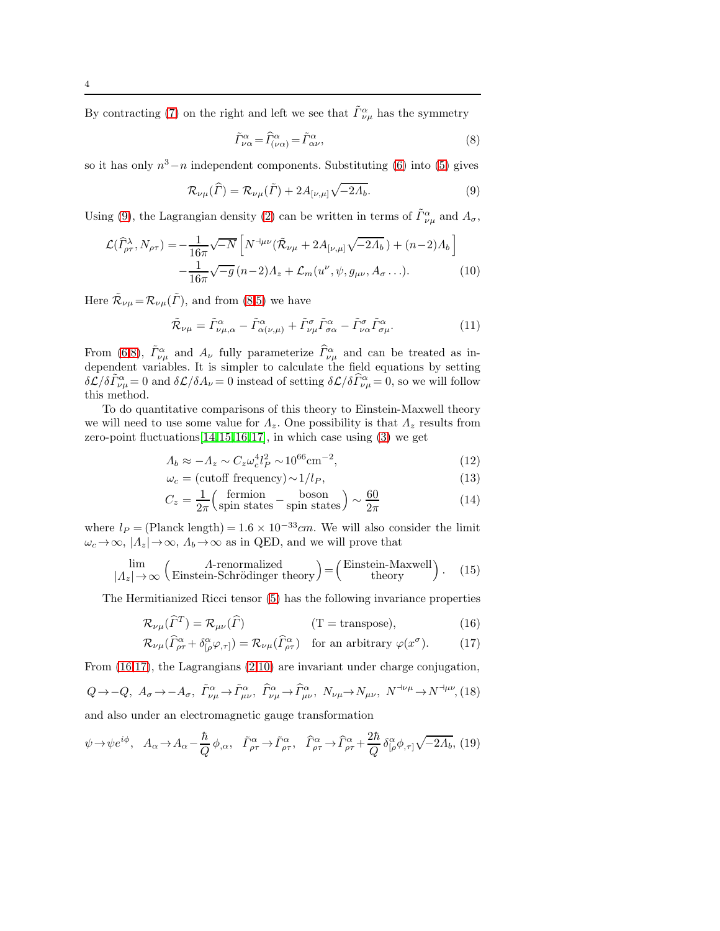By contracting [\(7\)](#page-2-3) on the right and left we see that  $\tilde{\Gamma}^{\alpha}_{\nu\mu}$  has the symmetry

<span id="page-3-1"></span>
$$
\tilde{\Gamma}^{\alpha}_{\nu\alpha} = \hat{\Gamma}^{\alpha}_{(\nu\alpha)} = \tilde{\Gamma}^{\alpha}_{\alpha\nu},\tag{8}
$$

so it has only  $n^3 - n$  independent components. Substituting [\(6\)](#page-2-3) into [\(5\)](#page-2-4) gives

<span id="page-3-0"></span>
$$
\mathcal{R}_{\nu\mu}(\widehat{\Gamma}) = \mathcal{R}_{\nu\mu}(\widehat{\Gamma}) + 2A_{[\nu,\mu]}\sqrt{-2A_b}.
$$
\n(9)

Using [\(9\)](#page-3-0), the Lagrangian density [\(2\)](#page-2-2) can be written in terms of  $\tilde{\Gamma}_{\nu\mu}^{\alpha}$  and  $A_{\sigma}$ ,

<span id="page-3-3"></span>
$$
\mathcal{L}(\widehat{\Gamma}_{\rho\tau}^{\lambda}, N_{\rho\tau}) = -\frac{1}{16\pi} \sqrt{-N} \left[ N^{+\mu\nu} (\tilde{\mathcal{R}}_{\nu\mu} + 2A_{[\nu,\mu]} \sqrt{-2\Lambda_b}) + (n-2)\Lambda_b \right] \n- \frac{1}{16\pi} \sqrt{-g} (n-2)\Lambda_z + \mathcal{L}_m(u^{\nu}, \psi, g_{\mu\nu}, A_{\sigma} \dots).
$$
\n(10)

Here  $\tilde{\mathcal{R}}_{\nu\mu} = \mathcal{R}_{\nu\mu}(\tilde{\varGamma})$ , and from [\(8](#page-3-1)[,5\)](#page-2-4) we have

<span id="page-3-5"></span>
$$
\tilde{\mathcal{R}}_{\nu\mu} = \tilde{\Gamma}^{\alpha}_{\nu\mu,\alpha} - \tilde{\Gamma}^{\alpha}_{\alpha(\nu,\mu)} + \tilde{\Gamma}^{\sigma}_{\nu\mu}\tilde{\Gamma}^{\alpha}_{\sigma\alpha} - \tilde{\Gamma}^{\sigma}_{\nu\alpha}\tilde{\Gamma}^{\alpha}_{\sigma\mu}.
$$
\n(11)

From [\(6](#page-2-3)[,8\)](#page-3-1),  $\tilde{\Gamma}_{\nu\mu}^{\alpha}$  and  $A_{\nu}$  fully parameterize  $\hat{\Gamma}_{\nu\mu}^{\alpha}$  and can be treated as independent variables. It is simpler to calculate the field equations by setting  $\delta\mathcal{L}/\delta\tilde{\Gamma}_{\nu\mu}^{\alpha} = 0$  and  $\delta\mathcal{L}/\delta A_{\nu} = 0$  instead of setting  $\delta\mathcal{L}/\delta\hat{\Gamma}_{\nu\mu}^{\alpha} = 0$ , so we will follow this method.

To do quantitative comparisons of this theory to Einstein-Maxwell theory we will need to use some value for  $\Lambda_z$ . One possibility is that  $\Lambda_z$  results from zero-point fluctuations  $[14, 15, 16, 17]$  $[14, 15, 16, 17]$  $[14, 15, 16, 17]$  $[14, 15, 16, 17]$  $[14, 15, 16, 17]$  $[14, 15, 16, 17]$  $[14, 15, 16, 17]$ , in which case using  $(3)$  we get

<span id="page-3-4"></span>
$$
\Lambda_b \approx -\Lambda_z \sim C_z \omega_c^4 l_P^2 \sim 10^{66} \text{cm}^{-2},\tag{12}
$$

$$
\omega_c = (\text{cutoff frequency}) \sim 1/l_P, \tag{13}
$$

$$
C_z = \frac{1}{2\pi} \left( \frac{\text{fermion}}{\text{spin states}} - \frac{\text{boson}}{\text{spin states}} \right) \sim \frac{60}{2\pi}
$$
 (14)

where  $l_P = (Planck length) = 1.6 \times 10^{-33}$ cm. We will also consider the limit  $\omega_c \to \infty$ ,  $|A_z| \to \infty$ ,  $A_b \to \infty$  as in QED, and we will prove that

<span id="page-3-6"></span>
$$
\lim_{|A_z| \to \infty} \left( \frac{\Lambda\text{-renormalized}}{\text{Einstein-Schrödinger theory}} \right) = \left( \frac{\text{Einstein-Maxwell}}{\text{theory}} \right). \tag{15}
$$

The Hermitianized Ricci tensor [\(5\)](#page-2-4) has the following invariance properties

<span id="page-3-2"></span>
$$
\mathcal{R}_{\nu\mu}(\widehat{\varGamma}^T) = \mathcal{R}_{\mu\nu}(\widehat{\varGamma}) \tag{16}
$$

$$
\mathcal{R}_{\nu\mu}(\hat{\Gamma}^{\alpha}_{\rho\tau} + \delta^{\alpha}_{[\rho}\varphi_{,\tau]}) = \mathcal{R}_{\nu\mu}(\hat{\Gamma}^{\alpha}_{\rho\tau}) \quad \text{for an arbitrary } \varphi(x^{\sigma}). \tag{17}
$$

From [\(16,17\)](#page-3-2), the Lagrangians [\(2,](#page-2-2)[10\)](#page-3-3) are invariant under charge conjugation,

$$
Q \to -Q, \ A_{\sigma} \to -A_{\sigma}, \ \tilde{\Gamma}^{\alpha}_{\nu\mu} \to \tilde{\Gamma}^{\alpha}_{\mu\nu}, \ \tilde{\Gamma}^{\alpha}_{\nu\mu} \to \tilde{\Gamma}^{\alpha}_{\mu\nu}, \ N_{\nu\mu} \to N_{\mu\nu}, \ N^{\nu\mu} \to N^{\nu\mu}, (18)
$$

and also under an electromagnetic gauge transformation

$$
\psi \to \psi e^{i\phi}, \quad A_{\alpha} \to A_{\alpha} - \frac{\hbar}{Q} \phi_{,\alpha}, \quad \tilde{\Gamma}^{\alpha}_{\rho\tau} \to \tilde{\Gamma}^{\alpha}_{\rho\tau}, \quad \tilde{\Gamma}^{\alpha}_{\rho\tau} \to \tilde{\Gamma}^{\alpha}_{\rho\tau} + \frac{2\hbar}{Q} \delta^{\alpha}_{[\rho} \phi_{,\tau]} \sqrt{-2\Lambda_b}, \tag{19}
$$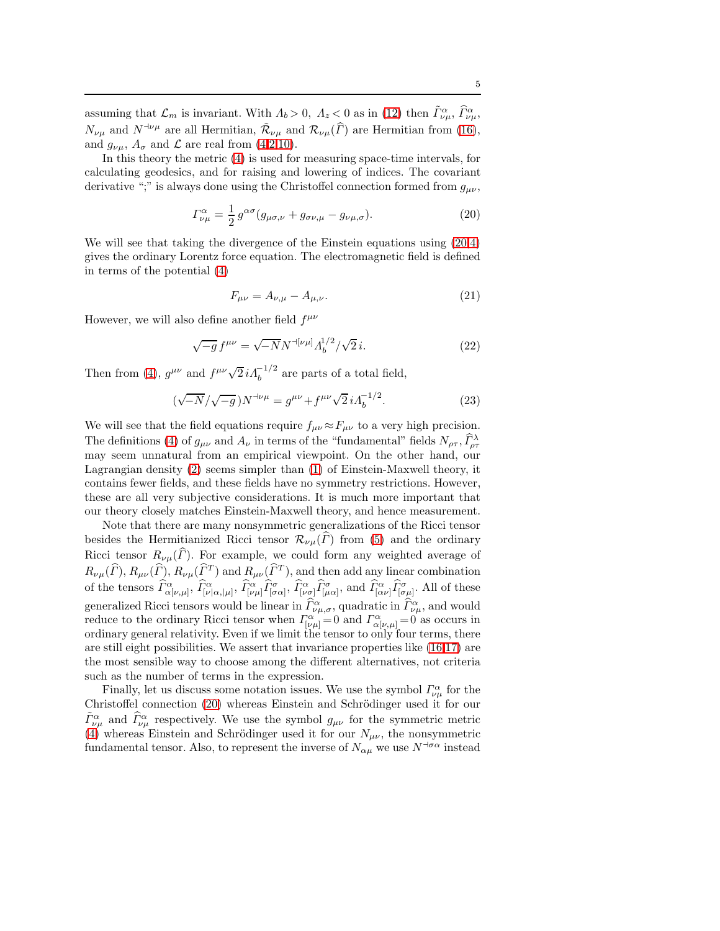assuming that  $\mathcal{L}_m$  is invariant. With  $\Lambda_b > 0$ ,  $\Lambda_z < 0$  as in [\(12\)](#page-3-4) then  $\tilde{\Gamma}_{\nu\mu}^{\alpha}$ ,  $\hat{\Gamma}_{\nu\mu}^{\alpha}$ ,  $N_{\nu\mu}$  and  $N^{\perp\nu\mu}$  are all Hermitian,  $\tilde{\mathcal{R}}_{\nu\mu}$  and  $\mathcal{R}_{\nu\mu}(\widehat{\Gamma})$  are Hermitian from [\(16\)](#page-3-2), and  $g_{\nu\mu}$ ,  $A_{\sigma}$  and  $\mathcal L$  are real from [\(4](#page-2-1)[,2,](#page-2-2)[10\)](#page-3-3).

In this theory the metric [\(4\)](#page-2-1) is used for measuring space-time intervals, for calculating geodesics, and for raising and lowering of indices. The covariant derivative ";" is always done using the Christoffel connection formed from  $g_{\mu\nu}$ ,

<span id="page-4-0"></span>
$$
\Gamma^{\alpha}_{\nu\mu} = \frac{1}{2} g^{\alpha\sigma} (g_{\mu\sigma,\nu} + g_{\sigma\nu,\mu} - g_{\nu\mu,\sigma}). \tag{20}
$$

We will see that taking the divergence of the Einstein equations using [\(20,](#page-4-0)[4\)](#page-2-1) gives the ordinary Lorentz force equation. The electromagnetic field is defined in terms of the potential [\(4\)](#page-2-1)

<span id="page-4-1"></span>
$$
F_{\mu\nu} = A_{\nu,\mu} - A_{\mu,\nu}.\tag{21}
$$

However, we will also define another field  $f^{\mu\nu}$ 

<span id="page-4-2"></span>
$$
\sqrt{-g} f^{\mu\nu} = \sqrt{-N} N^{+[\nu\mu]} \Lambda_b^{1/2} / \sqrt{2} i. \tag{22}
$$

Then from [\(4\)](#page-2-1),  $g^{\mu\nu}$  and  $f^{\mu\nu}\sqrt{2}i\Lambda_b^{-1/2}$  are parts of a total field,

<span id="page-4-3"></span>
$$
(\sqrt{-N}/\sqrt{-g})N^{\perp\nu\mu} = g^{\mu\nu} + f^{\mu\nu}\sqrt{2}i\Lambda_b^{-1/2}.
$$
 (23)

We will see that the field equations require  $f_{\mu\nu} \approx F_{\mu\nu}$  to a very high precision. The definitions [\(4\)](#page-2-1) of  $g_{\mu\nu}$  and  $A_{\nu}$  in terms of the "fundamental" fields  $N_{\rho\tau}$ ,  $\widehat{I}_{\rho\tau}^{\lambda}$ may seem unnatural from an empirical viewpoint. On the other hand, our Lagrangian density [\(2\)](#page-2-2) seems simpler than [\(1\)](#page-2-6) of Einstein-Maxwell theory, it contains fewer fields, and these fields have no symmetry restrictions. However, these are all very subjective considerations. It is much more important that our theory closely matches Einstein-Maxwell theory, and hence measurement.

Note that there are many nonsymmetric generalizations of the Ricci tensor besides the Hermitianized Ricci tensor  $\mathcal{R}_{\nu\mu}(\hat{\Gamma})$  from [\(5\)](#page-2-4) and the ordinary Ricci tensor  $R_{\nu\mu}(\widehat{\Gamma})$ . For example, we could form any weighted average of  $R_{\nu\mu}(\hat{\Gamma}), R_{\mu\nu}(\hat{\Gamma}), R_{\nu\mu}(\hat{\Gamma}^T)$  and  $R_{\mu\nu}(\hat{\Gamma}^T)$ , and then add any linear combination of the tensors  $\hat{\Gamma}^{\alpha}_{\alpha[\nu,\mu]}, \hat{\Gamma}^{\alpha}_{[\nu|\alpha,|\mu]}, \hat{\Gamma}^{\alpha}_{[\nu\mu]}\hat{\Gamma}^{\sigma}_{[\sigma\alpha]}, \hat{\Gamma}^{\alpha}_{[\nu\sigma]}\hat{\Gamma}^{\sigma}_{[\mu\alpha]},$  and  $\hat{\Gamma}^{\alpha}_{[\alpha\nu]}\hat{\Gamma}^{\sigma}_{[\sigma\mu]}$ . All of these generalized Ricci tensors would be linear in  $\hat{\Gamma}^{\alpha}_{\nu\mu,\sigma}$ , quadratic in  $\hat{\Gamma}^{\alpha}_{\nu\mu}$ , and would reduce to the ordinary Ricci tensor when  $\Gamma^{\alpha}_{[\nu\mu]} = 0$  and  $\Gamma^{\alpha}_{\alpha[\nu,\mu]} = 0$  as occurs in ordinary general relativity. Even if we limit the tensor to only four terms, there are still eight possibilities. We assert that invariance properties like [\(16,17\)](#page-3-2) are the most sensible way to choose among the different alternatives, not criteria such as the number of terms in the expression.

Finally, let us discuss some notation issues. We use the symbol  $\Gamma_{\nu\mu}^{\alpha}$  for the Christoffel connection [\(20\)](#page-4-0) whereas Einstein and Schrödinger used it for our  $\tilde{\Gamma}_{\nu\mu}^{\alpha}$  and  $\hat{\Gamma}_{\nu\mu}^{\alpha}$  respectively. We use the symbol  $g_{\mu\nu}$  for the symmetric metric [\(4\)](#page-2-1) whereas Einstein and Schrödinger used it for our  $N_{\mu\nu}$ , the nonsymmetric fundamental tensor. Also, to represent the inverse of  $N_{\alpha\mu}$  we use  $N^{-\dagger\sigma\alpha}$  instead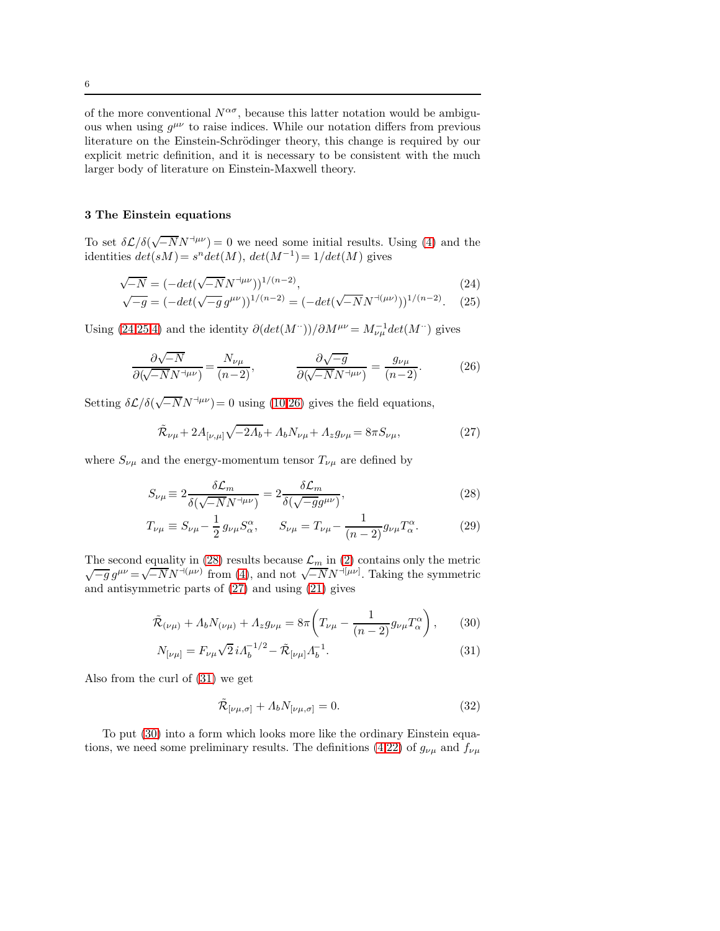of the more conventional  $N^{\alpha\sigma}$ , because this latter notation would be ambiguous when using  $g^{\mu\nu}$  to raise indices. While our notation differs from previous literature on the Einstein-Schrödinger theory, this change is required by our explicit metric definition, and it is necessary to be consistent with the much larger body of literature on Einstein-Maxwell theory.

## <span id="page-5-0"></span>3 The Einstein equations

To set  $\delta \mathcal{L}/\delta(\sqrt{-N}N^{-\mu\nu}) = 0$  we need some initial results. Using [\(4\)](#page-2-1) and the identities  $det(sM) = s^n det(M)$ ,  $det(M^{-1}) = 1/det(M)$  gives

<span id="page-5-1"></span>
$$
\sqrt{-N} = (-\det(\sqrt{-N}N^{+\mu\nu}))^{1/(n-2)},\tag{24}
$$

$$
\sqrt{-g} = \left(-\det(\sqrt{-g} \, g^{\mu\nu})\right)^{1/(n-2)} = \left(-\det(\sqrt{-N}N^{-(\mu\nu)})\right)^{1/(n-2)}.\tag{25}
$$

Using [\(24,25,](#page-5-1)[4\)](#page-2-1) and the identity  $\partial(det(M^{\cdots})) / \partial M^{\mu\nu} = M_{\nu\mu}^{-1} det(M^{\cdots})$  gives

<span id="page-5-2"></span>
$$
\frac{\partial \sqrt{-N}}{\partial (\sqrt{-N}N^{+\mu\nu})} = \frac{N_{\nu\mu}}{(n-2)}, \qquad \frac{\partial \sqrt{-g}}{\partial (\sqrt{-N}N^{+\mu\nu})} = \frac{g_{\nu\mu}}{(n-2)}.
$$
 (26)

Setting  $\delta \mathcal{L}/\delta(\sqrt{-N}N^{\perp \mu \nu})=0$  using [\(10](#page-3-3)[,26\)](#page-5-2) gives the field equations,

<span id="page-5-4"></span>
$$
\tilde{\mathcal{R}}_{\nu\mu} + 2A_{[\nu,\mu]} \sqrt{-2A_b} + A_b N_{\nu\mu} + A_z g_{\nu\mu} = 8\pi S_{\nu\mu},\tag{27}
$$

where  $S_{\nu\mu}$  and the energy-momentum tensor  $T_{\nu\mu}$  are defined by

<span id="page-5-3"></span>
$$
S_{\nu\mu} \equiv 2 \frac{\delta \mathcal{L}_m}{\delta(\sqrt{-N}N^{+\mu\nu})} = 2 \frac{\delta \mathcal{L}_m}{\delta(\sqrt{-g}g^{\mu\nu})},\tag{28}
$$

$$
T_{\nu\mu} \equiv S_{\nu\mu} - \frac{1}{2} g_{\nu\mu} S^{\alpha}_{\alpha}, \qquad S_{\nu\mu} = T_{\nu\mu} - \frac{1}{(n-2)} g_{\nu\mu} T^{\alpha}_{\alpha}.
$$
 (29)

The second equality in [\(28\)](#page-5-3) results because  $\mathcal{L}_m$  in [\(2\)](#page-2-2) contains only the metric  $\sqrt{-g} g^{\mu\nu} = \sqrt{-N} N^{-(\mu\nu)}$  from [\(4\)](#page-2-1), and not  $\sqrt{-N} N^{-(\mu\nu)}$ . Taking the symmetric and antisymmetric parts of [\(27\)](#page-5-4) and using [\(21\)](#page-4-1) gives

<span id="page-5-5"></span>
$$
\tilde{\mathcal{R}}_{(\nu\mu)} + A_b N_{(\nu\mu)} + A_z g_{\nu\mu} = 8\pi \left( T_{\nu\mu} - \frac{1}{(n-2)} g_{\nu\mu} T_\alpha^\alpha \right), \qquad (30)
$$

$$
N_{[\nu\mu]} = F_{\nu\mu}\sqrt{2} i\Lambda_b^{-1/2} - \tilde{\mathcal{R}}_{[\nu\mu]} \Lambda_b^{-1}.
$$
 (31)

Also from the curl of [\(31\)](#page-5-5) we get

<span id="page-5-6"></span>
$$
\tilde{\mathcal{R}}_{\left[\nu\mu,\sigma\right]} + \Lambda_b N_{\left[\nu\mu,\sigma\right]} = 0. \tag{32}
$$

To put [\(30\)](#page-5-5) into a form which looks more like the ordinary Einstein equa-tions, we need some preliminary results. The definitions [\(4](#page-2-1)[,22\)](#page-4-2) of  $g_{\nu\mu}$  and  $f_{\nu\mu}$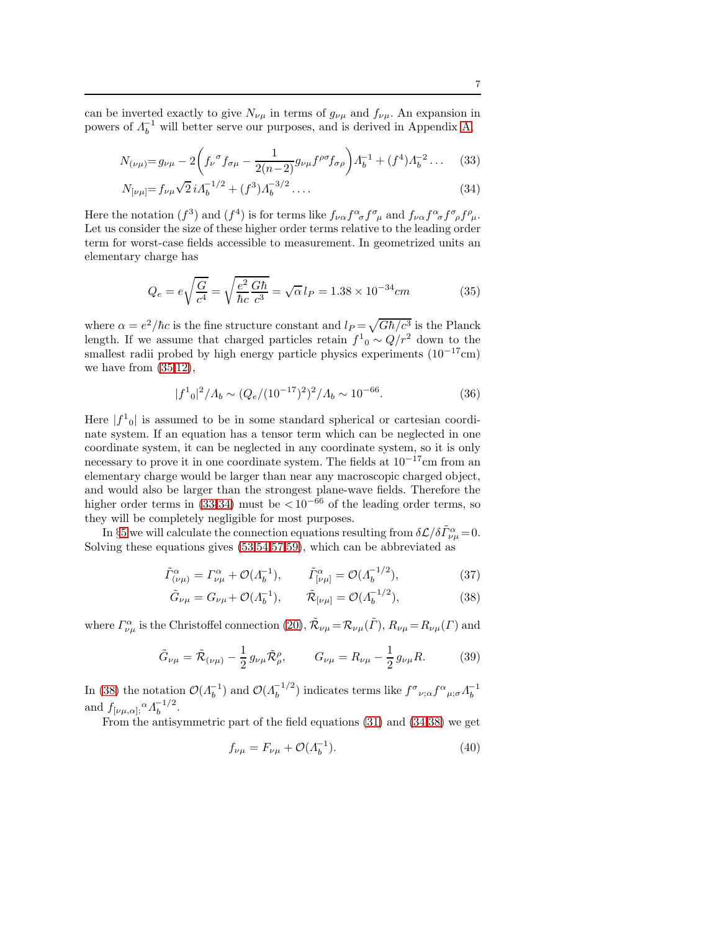can be inverted exactly to give  $N_{\nu\mu}$  in terms of  $g_{\nu\mu}$  and  $f_{\nu\mu}$ . An expansion in powers of  $\Lambda_b^{-1}$  will better serve our purposes, and is derived in Appendix [A,](#page-20-0)

<span id="page-6-1"></span>
$$
N_{(\nu\mu)} = g_{\nu\mu} - 2\left(f_{\nu}{}^{\sigma} f_{\sigma\mu} - \frac{1}{2(n-2)} g_{\nu\mu} f^{\rho\sigma} f_{\sigma\rho}\right) A_b^{-1} + (f^4) A_b^{-2} \dots \quad (33)
$$

$$
N_{\left[\nu\mu\right]} = f_{\nu\mu}\sqrt{2} i \Lambda_b^{-1/2} + (f^3) \Lambda_b^{-3/2} \dots \tag{34}
$$

Here the notation  $(f^3)$  and  $(f^4)$  is for terms like  $f_{\nu\alpha}f^{\alpha}_{\ \rho}f^{\sigma}_{\ \mu}$  and  $f_{\nu\alpha}f^{\alpha}_{\ \sigma}f^{\sigma}_{\ \rho}f^{\rho}_{\ \mu}$ . Let us consider the size of these higher order terms relative to the leading order term for worst-case fields accessible to measurement. In geometrized units an elementary charge has

<span id="page-6-0"></span>
$$
Q_e = e \sqrt{\frac{G}{c^4}} = \sqrt{\frac{e^2}{\hbar c} \frac{G\hbar}{c^3}} = \sqrt{\alpha} l_P = 1.38 \times 10^{-34} cm
$$
 (35)

where  $\alpha = e^2/\hbar c$  is the fine structure constant and  $l_P = \sqrt{G\hbar/c^3}$  is the Planck length. If we assume that charged particles retain  $f^1{}_0 \sim Q/r^2$  down to the smallest radii probed by high energy particle physics experiments  $(10^{-17} \text{cm})$ we have from  $(35,12)$  $(35,12)$ ,

<span id="page-6-5"></span>
$$
|f^1_0|^2 / A_b \sim (Q_e / (10^{-17})^2)^2 / A_b \sim 10^{-66}.
$$
 (36)

Here  $|f^1|_0$  is assumed to be in some standard spherical or cartesian coordinate system. If an equation has a tensor term which can be neglected in one coordinate system, it can be neglected in any coordinate system, so it is only necessary to prove it in one coordinate system. The fields at  $10^{-17}$ cm from an elementary charge would be larger than near any macroscopic charged object, and would also be larger than the strongest plane-wave fields. Therefore the higher order terms in [\(33-34\)](#page-6-1) must be  $\langle 10^{-66}$  of the leading order terms, so they will be completely negligible for most purposes.

In §[5](#page-8-0) we will calculate the connection equations resulting from  $\delta \mathcal{L}/\delta \tilde{\Gamma}^{\alpha}_{\nu\mu} = 0$ . Solving these equations gives [\(53,54](#page-8-1)[,57,](#page-9-0)[59\)](#page-9-1), which can be abbreviated as

<span id="page-6-2"></span>
$$
\tilde{\Gamma}^{\alpha}_{(\nu\mu)} = \Gamma^{\alpha}_{\nu\mu} + \mathcal{O}(\Lambda_b^{-1}), \qquad \tilde{\Gamma}^{\alpha}_{[\nu\mu]} = \mathcal{O}(\Lambda_b^{-1/2}), \tag{37}
$$

$$
\tilde{G}_{\nu\mu} = G_{\nu\mu} + \mathcal{O}(\Lambda_b^{-1}), \qquad \tilde{\mathcal{R}}_{[\nu\mu]} = \mathcal{O}(\Lambda_b^{-1/2}), \tag{38}
$$

where  $\Gamma_{\nu\mu}^{\alpha}$  is the Christoffel connection [\(20\)](#page-4-0),  $\tilde{\mathcal{R}}_{\nu\mu} = \mathcal{R}_{\nu\mu}(\tilde{\Gamma})$ ,  $R_{\nu\mu} = R_{\nu\mu}(\Gamma)$  and

<span id="page-6-3"></span>
$$
\tilde{G}_{\nu\mu} = \tilde{\mathcal{R}}_{(\nu\mu)} - \frac{1}{2} g_{\nu\mu} \tilde{\mathcal{R}}_{\rho}^{\rho}, \qquad G_{\nu\mu} = R_{\nu\mu} - \frac{1}{2} g_{\nu\mu} R. \tag{39}
$$

In [\(38\)](#page-6-2) the notation  $\mathcal{O}(\Lambda_b^{-1})$  and  $\mathcal{O}(\Lambda_b^{-1/2})$ <sup>-1/2</sup>) indicates terms like  $f^{\sigma}{}_{\nu;\alpha}f^{\alpha}{}_{\mu;\sigma}A^{-1}_{b}$ and  $f_{\left[\nu\mu,\alpha\right]$ ;  ${}^{\alpha}$   $\Lambda_b^{-1/2}$  $b^{-1/2}$ .

From the antisymmetric part of the field equations [\(31\)](#page-5-5) and [\(34,](#page-6-1)[38\)](#page-6-2) we get

<span id="page-6-4"></span>
$$
f_{\nu\mu} = F_{\nu\mu} + \mathcal{O}(\Lambda_b^{-1}).
$$
\n(40)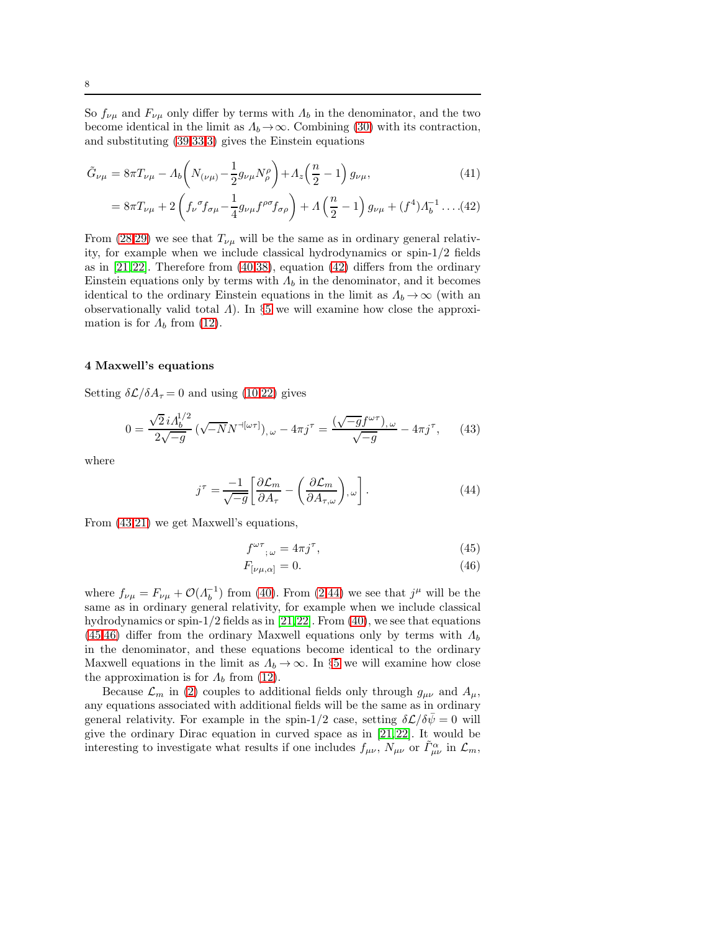So  $f_{\nu\mu}$  and  $F_{\nu\mu}$  only differ by terms with  $\Lambda_b$  in the denominator, and the two become identical in the limit as  $\Lambda_b \to \infty$ . Combining [\(30\)](#page-5-5) with its contraction, and substituting [\(39](#page-6-3)[,33](#page-6-1)[,3\)](#page-2-5) gives the Einstein equations

<span id="page-7-0"></span>
$$
\tilde{G}_{\nu\mu} = 8\pi T_{\nu\mu} - A_b \left( N_{(\nu\mu)} - \frac{1}{2} g_{\nu\mu} N^\rho_\rho \right) + A_z \left( \frac{n}{2} - 1 \right) g_{\nu\mu},\tag{41}
$$

$$
= 8\pi T_{\nu\mu} + 2\left(f_{\nu}{}^{\sigma} f_{\sigma\mu} - \frac{1}{4}g_{\nu\mu}f^{\rho\sigma} f_{\sigma\rho}\right) + A\left(\frac{n}{2} - 1\right)g_{\nu\mu} + (f^4)A_b^{-1} \dots (42)
$$

From [\(28,29\)](#page-5-3) we see that  $T_{\nu\mu}$  will be the same as in ordinary general relativity, for example when we include classical hydrodynamics or spin-1/2 fields as in [\[21,](#page-21-20)[22\]](#page-21-21). Therefore from [\(40](#page-6-4)[,38\)](#page-6-2), equation [\(42\)](#page-7-0) differs from the ordinary Einstein equations only by terms with  $\Lambda_b$  in the denominator, and it becomes identical to the ordinary Einstein equations in the limit as  $\Lambda_b \to \infty$  (with an observationally valid total  $\Lambda$ ). In §[5](#page-8-0) we will examine how close the approximation is for  $\Lambda_b$  from [\(12\)](#page-3-4).

#### <span id="page-7-4"></span>4 Maxwell's equations

Setting  $\delta\mathcal{L}/\delta A_\tau = 0$  and using [\(10](#page-3-3)[,22\)](#page-4-2) gives

<span id="page-7-1"></span>
$$
0 = \frac{\sqrt{2}i A_b^{1/2}}{2\sqrt{-g}} \left(\sqrt{-N} N^{-|[\omega \tau]}\right)_{,\,\omega} - 4\pi j^{\tau} = \frac{(\sqrt{-g} f^{\omega \tau})_{,\,\omega}}{\sqrt{-g}} - 4\pi j^{\tau},\qquad(43)
$$

where

<span id="page-7-2"></span>
$$
j^{\tau} = \frac{-1}{\sqrt{-g}} \left[ \frac{\partial \mathcal{L}_m}{\partial A_{\tau}} - \left( \frac{\partial \mathcal{L}_m}{\partial A_{\tau,\omega}} \right), \omega \right]. \tag{44}
$$

From [\(43,](#page-7-1)[21\)](#page-4-1) we get Maxwell's equations,

<span id="page-7-3"></span>
$$
f^{\omega \tau}{}_{;\,\omega} = 4\pi j^{\tau},\tag{45}
$$

$$
F_{\left[\nu\mu,\alpha\right]} = 0.\t\t(46)
$$

where  $f_{\nu\mu} = F_{\nu\mu} + \mathcal{O}(\Lambda_b^{-1})$  from [\(40\)](#page-6-4). From [\(2,](#page-2-2)[44\)](#page-7-2) we see that  $j^{\mu}$  will be the same as in ordinary general relativity, for example when we include classical hydrodynamics or spin-1/2 fields as in [\[21,](#page-21-20)[22\]](#page-21-21). From [\(40\)](#page-6-4), we see that equations  $(45,46)$  differ from the ordinary Maxwell equations only by terms with  $\Lambda_b$ in the denominator, and these equations become identical to the ordinary Maxwell equations in the limit as  $\Lambda_b \to \infty$ . In §[5](#page-8-0) we will examine how close the approximation is for  $\Lambda_b$  from [\(12\)](#page-3-4).

Because  $\mathcal{L}_m$  in [\(2\)](#page-2-2) couples to additional fields only through  $g_{\mu\nu}$  and  $A_\mu$ , any equations associated with additional fields will be the same as in ordinary general relativity. For example in the spin-1/2 case, setting  $\delta \mathcal{L}/\delta \psi = 0$  will give the ordinary Dirac equation in curved space as in [\[21,](#page-21-20)[22\]](#page-21-21). It would be interesting to investigate what results if one includes  $f_{\mu\nu}$ ,  $N_{\mu\nu}$  or  $\tilde{\Gamma}^{\alpha}_{\mu\nu}$  in  $\mathcal{L}_m$ ,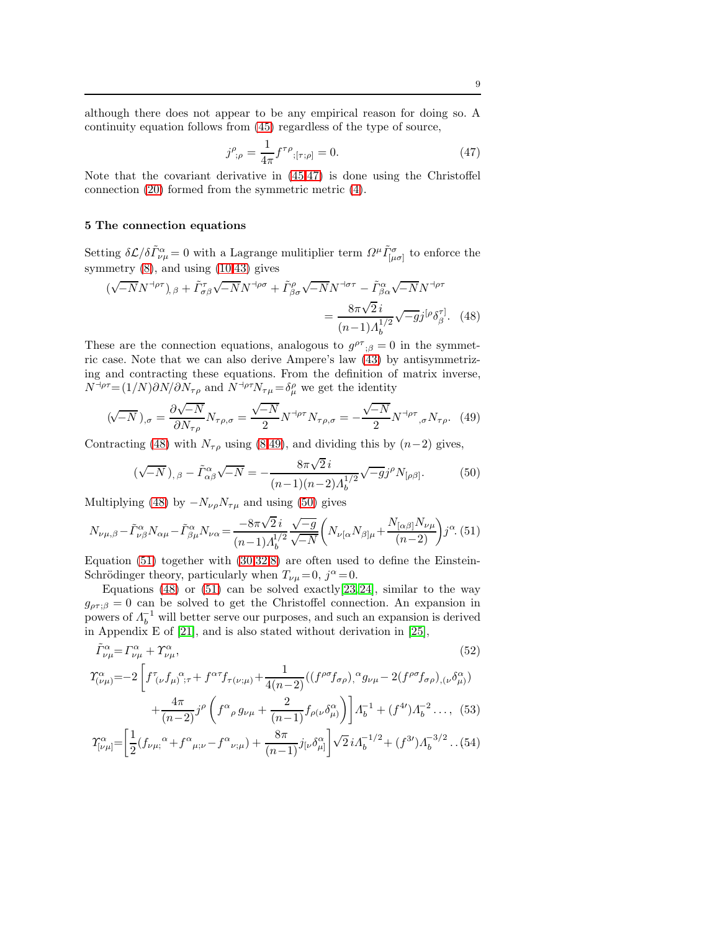although there does not appear to be any empirical reason for doing so. A continuity equation follows from [\(45\)](#page-7-3) regardless of the type of source,

<span id="page-8-2"></span>
$$
j^{\rho}_{;\rho} = \frac{1}{4\pi} f^{\tau\rho}_{;[\tau;\rho]} = 0.
$$
 (47)

Note that the covariant derivative in [\(45](#page-7-3)[,47\)](#page-8-2) is done using the Christoffel connection [\(20\)](#page-4-0) formed from the symmetric metric [\(4\)](#page-2-1).

## <span id="page-8-0"></span>5 The connection equations

Setting  $\delta\mathcal{L}/\delta\tilde{\Gamma}_{\nu\mu}^{\alpha} = 0$  with a Lagrange mulitiplier term  $\Omega^{\mu}\tilde{\Gamma}_{[\mu\sigma]}^{\sigma}$  to enforce the symmetry [\(8\)](#page-3-1), and using [\(10](#page-3-3)[,43\)](#page-7-1) gives

<span id="page-8-3"></span>
$$
(\sqrt{-N}N^{\dagger\rho\tau})_{,\beta} + \tilde{\Gamma}^{\tau}_{\sigma\beta}\sqrt{-N}N^{\dagger\rho\sigma} + \tilde{\Gamma}^{\rho}_{\beta\sigma}\sqrt{-N}N^{\dagger\sigma\tau} - \tilde{\Gamma}^{\alpha}_{\beta\alpha}\sqrt{-N}N^{\dagger\rho\tau}
$$

$$
= \frac{8\pi\sqrt{2}i}{(n-1)\Lambda_b^{1/2}}\sqrt{-g}j^{[\rho}\delta^{\tau]}_{\beta}.\quad(48)
$$

These are the connection equations, analogous to  $g^{\rho\tau}{}_{;\beta}=0$  in the symmetric case. Note that we can also derive Ampere's law [\(43\)](#page-7-1) by antisymmetrizing and contracting these equations. From the definition of matrix inverse,  $N^{\dagger\rho\tau}$  =  $(1/N)\partial N/\partial N_{\tau\rho}$  and  $N^{\dagger\rho\tau}N_{\tau\mu} = \delta^{\rho}_{\mu}$  we get the identity

<span id="page-8-4"></span>
$$
(\sqrt{-N})_{,\sigma} = \frac{\partial \sqrt{-N}}{\partial N_{\tau\rho}} N_{\tau\rho,\sigma} = \frac{\sqrt{-N}}{2} N^{1\rho\tau} N_{\tau\rho,\sigma} = -\frac{\sqrt{-N}}{2} N^{1\rho\tau}_{,\sigma} N_{\tau\rho}.
$$
 (49)

Contracting [\(48\)](#page-8-3) with  $N_{\tau\rho}$  using [\(8](#page-3-1)[,49\)](#page-8-4), and dividing this by  $(n-2)$  gives,

<span id="page-8-5"></span>
$$
(\sqrt{-N})_{,\beta} - \tilde{\Gamma}_{\alpha\beta}^{\alpha} \sqrt{-N} = -\frac{8\pi\sqrt{2}i}{(n-1)(n-2)\Lambda_b^{1/2}} \sqrt{-g} j^{\rho} N_{[\rho\beta]}.
$$
 (50)

Multiplying [\(48\)](#page-8-3) by  $-N_{\nu\rho}N_{\tau\mu}$  and using [\(50\)](#page-8-5) gives

<span id="page-8-6"></span>
$$
N_{\nu\mu,\beta} - \tilde{\Gamma}^{\alpha}_{\nu\beta} N_{\alpha\mu} - \tilde{\Gamma}^{\alpha}_{\beta\mu} N_{\nu\alpha} = \frac{-8\pi\sqrt{2}i}{(n-1)A_b^{1/2}} \frac{\sqrt{-g}}{\sqrt{-N}} \left( N_{\nu[\alpha} N_{\beta]\mu} + \frac{N_{[\alpha\beta]} N_{\nu\mu}}{(n-2)} \right) j^{\alpha}.
$$
 (51)

Equation [\(51\)](#page-8-6) together with [\(30](#page-5-5)[,32](#page-5-6)[,8\)](#page-3-1) are often used to define the Einstein-Schrödinger theory, particularly when  $T_{\nu\mu}=0$ ,  $j^{\alpha}=0$ .

Equations  $(48)$  or  $(51)$  can be solved exactly  $[23,24]$  $[23,24]$ , similar to the way  $g_{\rho\tau;\beta} = 0$  can be solved to get the Christoffel connection. An expansion in powers of  $\Lambda_b^{-1}$  will better serve our purposes, and such an expansion is derived in Appendix E of [\[21\]](#page-21-20), and is also stated without derivation in [\[25\]](#page-22-0),

<span id="page-8-1"></span>
$$
\tilde{\Gamma}^{\alpha}_{\nu\mu} = \Gamma^{\alpha}_{\nu\mu} + \Upsilon^{\alpha}_{\nu\mu},
$$
\n
$$
\Gamma^{\alpha}_{(\nu\mu)} = -2 \left[ f^{\tau}_{(\nu} f_{\mu})^{\alpha}_{;\tau} + f^{\alpha\tau} f_{\tau(\nu;\mu)} + \frac{1}{4(n-2)} \left( (f^{\rho\sigma} f_{\sigma\rho})^{\alpha}_{,\mu} g_{\nu\mu} - 2 (f^{\rho\sigma} f_{\sigma\rho})^{\alpha}_{,\nu} \right) \right]
$$
\n(52)

$$
\begin{aligned}\n &\downarrow \qquad \qquad \downarrow \qquad \downarrow \qquad \downarrow \qquad \downarrow \qquad \downarrow \qquad \downarrow \qquad \downarrow \qquad \downarrow \qquad \downarrow \qquad \downarrow \qquad \downarrow \qquad \downarrow \qquad \downarrow \qquad \downarrow \qquad \downarrow \qquad \downarrow \qquad \downarrow \qquad \downarrow \qquad \downarrow \qquad \downarrow \qquad \downarrow \qquad \downarrow \qquad \downarrow \qquad \downarrow \qquad \downarrow \qquad \downarrow \qquad \downarrow \qquad \downarrow \qquad \downarrow \qquad \downarrow \qquad \downarrow \qquad \downarrow \qquad \downarrow \qquad \downarrow \qquad \downarrow \qquad \downarrow \qquad \downarrow \qquad \downarrow \qquad \downarrow \qquad \downarrow \qquad \downarrow \qquad \downarrow \qquad \downarrow \qquad \downarrow \qquad \downarrow \qquad \downarrow \qquad \downarrow \qquad \downarrow \qquad \downarrow \qquad \downarrow \qquad \downarrow \qquad \downarrow \qquad \downarrow \qquad \downarrow \qquad \downarrow \qquad \downarrow \qquad \downarrow \qquad \downarrow \qquad \downarrow \qquad \downarrow \qquad \downarrow \qquad \downarrow \qquad \downarrow \qquad \downarrow \qquad \downarrow \qquad \downarrow \qquad \downarrow \qquad \downarrow \qquad \downarrow \qquad \downarrow \qquad \downarrow \qquad \downarrow \qquad \downarrow \qquad \downarrow \qquad \downarrow \qquad \downarrow \qquad \downarrow \qquad \downarrow \qquad \downarrow \qquad \downarrow \qquad \downarrow \qquad \downarrow \qquad \downarrow \qquad \downarrow \qquad \downarrow \qquad \downarrow \qquad \downarrow \qquad \downarrow \qquad \downarrow \qquad \downarrow \qquad \downarrow \qquad \downarrow \qquad \downarrow \qquad \downarrow \qquad \downarrow \qquad \downarrow \qquad \downarrow \qquad \downarrow \qquad \downarrow \qquad \downarrow \qquad \downarrow \qquad \downarrow \qquad \downarrow \qquad \downarrow \qquad \downarrow \qquad \downarrow \qquad \downarrow \qquad \downarrow \qquad \downarrow \qquad \downarrow \qquad \downarrow \qquad \downarrow \qquad \downarrow \qquad \downarrow \qquad \downarrow \qquad \downarrow \qquad \downarrow \qquad \downarrow \qquad \downarrow \qquad \downarrow \qquad \downarrow \qquad \downarrow \qquad \downarrow \qquad \downarrow \q
$$

$$
\Upsilon^{\alpha}_{[\nu\mu]} = \left[\frac{1}{2}(f_{\nu\mu;}{}^{\alpha} + f^{\alpha}{}_{\mu;\nu} - f^{\alpha}{}_{\nu;\mu}) + \frac{8\pi}{(n-1)}j_{[\nu}\delta^{\alpha}_{\mu]}\right]\sqrt{2}i\Lambda_b^{-1/2} + (f^{3\prime})\Lambda_b^{-3/2} \dots (54)
$$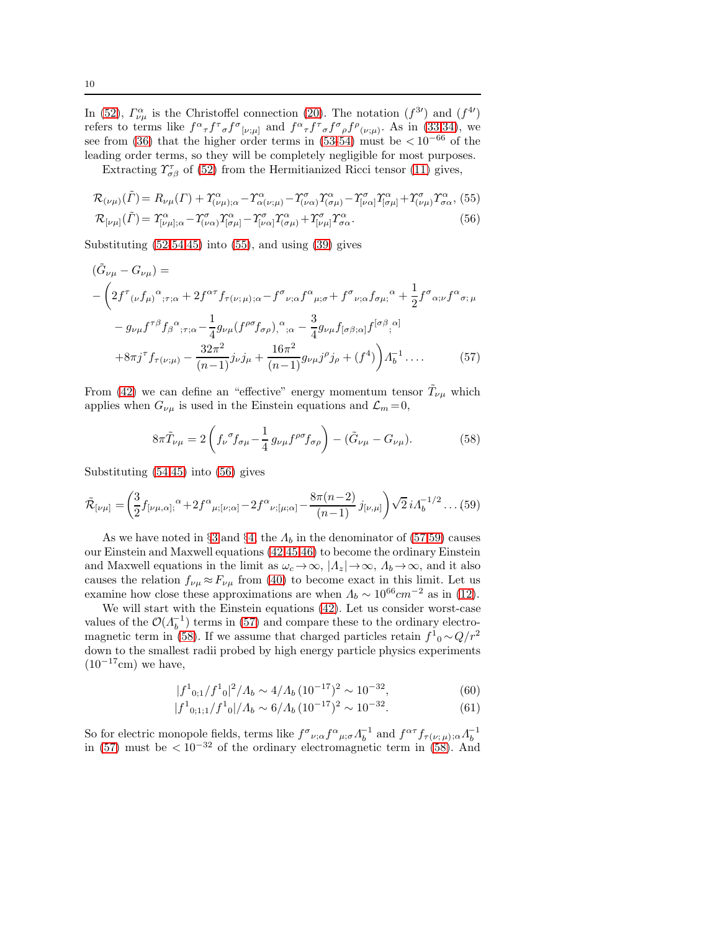In [\(52\)](#page-8-1),  $\Gamma^{\alpha}_{\nu\mu}$  is the Christoffel connection [\(20\)](#page-4-0). The notation  $(f^{3\prime})$  and  $(f^{4\prime})$ refers to terms like  $f^{\alpha}{}_{\tau}f^{\tau}{}_{\sigma}f^{\sigma}{}_{[\nu;\mu]}$  and  $f^{\alpha}{}_{\tau}f^{\tau}{}_{\sigma}f^{\sigma}{}_{\rho}f^{\rho}{}_{(\nu;\mu)}$ . As in [\(33,34\)](#page-6-1), we see from [\(36\)](#page-6-5) that the higher order terms in [\(53-54\)](#page-8-1) must be  $\lt 10^{-66}$  of the leading order terms, so they will be completely negligible for most purposes.

Extracting  $\Upsilon_{\sigma\beta}^{\tau}$  of [\(52\)](#page-8-1) from the Hermitianized Ricci tensor [\(11\)](#page-3-5) gives,

<span id="page-9-2"></span>
$$
\mathcal{R}_{(\nu\mu)}(\tilde{\Gamma}) = R_{\nu\mu}(\Gamma) + \gamma^{\alpha}_{(\nu\mu);\alpha} - \gamma^{\alpha}_{\alpha(\nu;\mu)} - \gamma^{\sigma}_{(\nu\alpha)}\gamma^{\alpha}_{(\sigma\mu)} - \gamma^{\sigma}_{[\nu\alpha]}\gamma^{\alpha}_{(\sigma\mu)} + \gamma^{\sigma}_{(\nu\mu)}\gamma^{\alpha}_{\sigma\alpha}, (55)
$$
  

$$
\mathcal{R}_{[\nu\mu]}(\tilde{\Gamma}) = \gamma^{\alpha}_{[\nu\mu];\alpha} - \gamma^{\sigma}_{(\nu\alpha)}\gamma^{\alpha}_{(\sigma\mu)} - \gamma^{\sigma}_{[\nu\alpha]}\gamma^{\alpha}_{(\sigma\mu)} + \gamma^{\sigma}_{[\nu\mu]}\gamma^{\alpha}_{\sigma\alpha}.
$$
 (56)

Substituting  $(52-54,45)$  $(52-54,45)$  into  $(55)$ , and using  $(39)$  gives

<span id="page-9-0"></span>
$$
(\tilde{G}_{\nu\mu} - G_{\nu\mu}) =
$$
  
 
$$
- \left( 2f^{\tau}{}_{(\nu}f_{\mu})^{\alpha}{}_{;\tau;\alpha} + 2f^{\alpha\tau}f_{\tau(\nu;\mu);\alpha} - f^{\sigma}{}_{\nu;\alpha}f^{\alpha}{}_{\mu;\sigma} + f^{\sigma}{}_{\nu;\alpha}f_{\sigma\mu;}^{\alpha} + \frac{1}{2}f^{\sigma}{}_{\alpha;\nu}f^{\alpha}{}_{\sigma;\mu} \right.
$$

$$
- g_{\nu\mu}f^{\tau\beta}f_{\beta}{}^{\alpha}{}_{;\tau;\alpha} - \frac{1}{4}g_{\nu\mu}(f^{\rho\sigma}f_{\sigma\rho}){}_{;\alpha;\alpha}^{\alpha} - \frac{3}{4}g_{\nu\mu}f_{[\sigma\beta;\alpha]}f^{[\sigma\beta]}{}_{;\alpha}^{;\alpha]}
$$

$$
+ 8\pi j^{\tau}f_{\tau(\nu;\mu)} - \frac{32\pi^2}{(n-1)}j_{\nu}j_{\mu} + \frac{16\pi^2}{(n-1)}g_{\nu\mu}j^{\rho}j_{\rho} + (f^4) \right) \Lambda_b^{-1} \dots
$$
(57)

From [\(42\)](#page-7-0) we can define an "effective" energy momentum tensor  $\tilde{T}_{\nu\mu}$  which applies when  $G_{\nu\mu}$  is used in the Einstein equations and  $\mathcal{L}_m = 0$ ,

<span id="page-9-3"></span>
$$
8\pi \tilde{T}_{\nu\mu} = 2\left(f_{\nu}{}^{\sigma}f_{\sigma\mu} - \frac{1}{4}g_{\nu\mu}f^{\rho\sigma}f_{\sigma\rho}\right) - (\tilde{G}_{\nu\mu} - G_{\nu\mu}).
$$
 (58)

Substituting [\(54,](#page-8-1)[45\)](#page-7-3) into [\(56\)](#page-9-2) gives

<span id="page-9-1"></span>
$$
\tilde{\mathcal{R}}_{[\nu\mu]} = \left(\frac{3}{2}f_{[\nu\mu,\alpha]}^{\alpha} + 2f^{\alpha}{}_{\mu;[\nu;\alpha]} - 2f^{\alpha}{}_{\nu;[\mu;\alpha]} - \frac{8\pi(n-2)}{(n-1)}j_{[\nu,\mu]}\right)\sqrt{2}i\Lambda_b^{-1/2}\dots(59)
$$

As we have noted in §[3](#page-5-0) and §[4,](#page-7-4) the  $\Lambda_b$  in the denominator of [\(57](#page-9-0)[,59\)](#page-9-1) causes our Einstein and Maxwell equations [\(42,](#page-7-0)[45,46\)](#page-7-3) to become the ordinary Einstein and Maxwell equations in the limit as  $\omega_c \to \infty$ ,  $|A_z| \to \infty$ ,  $A_b \to \infty$ , and it also causes the relation  $f_{\nu\mu} \approx F_{\nu\mu}$  from [\(40\)](#page-6-4) to become exact in this limit. Let us examine how close these approximations are when  $\Lambda_b \sim 10^{66} \text{cm}^{-2}$  as in [\(12\)](#page-3-4).

We will start with the Einstein equations [\(42\)](#page-7-0). Let us consider worst-case values of the  $\mathcal{O}(\Lambda_b^{-1})$  terms in [\(57\)](#page-9-0) and compare these to the ordinary electro-magnetic term in [\(58\)](#page-9-3). If we assume that charged particles retain  $f^1{}_0 \sim Q/r^2$ down to the smallest radii probed by high energy particle physics experiments  $(10^{-17} \text{cm})$  we have,

<span id="page-9-4"></span>
$$
|f^1_{\ 0;1}/f^1_{\ 0}|^2/A_b \sim 4/\Lambda_b \,(10^{-17})^2 \sim 10^{-32},\tag{60}
$$

$$
|f^1_{0,1,1}/f^1_0|/A_b \sim 6/A_b (10^{-17})^2 \sim 10^{-32}.
$$
 (61)

So for electric monopole fields, terms like  $f^{\sigma}{}_{\nu;\alpha}f^{\alpha}{}_{\mu;\sigma} \Lambda_b^{-1}$  and  $f^{\alpha\tau}f_{\tau(\nu;\mu);\alpha} \Lambda_b^{-1}$ <br>in [\(57\)](#page-9-0) must be  $\lt 10^{-32}$  of the ordinary electromagnetic term in [\(58\)](#page-9-3). And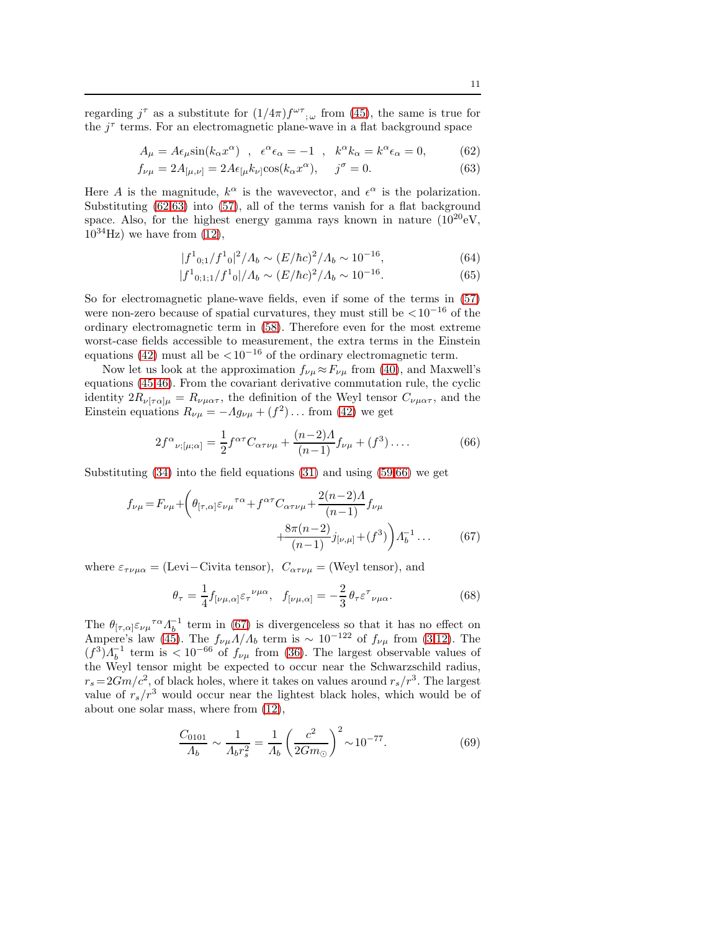regarding  $j^{\tau}$  as a substitute for  $(1/4\pi) f^{\omega\tau}$ ,  $\omega$  from [\(45\)](#page-7-3), the same is true for the  $j^{\tau}$  terms. For an electromagnetic plane-wave in a flat background space

<span id="page-10-0"></span>
$$
A_{\mu} = A \epsilon_{\mu} \sin(k_{\alpha} x^{\alpha}) \quad , \quad \epsilon^{\alpha} \epsilon_{\alpha} = -1 \quad , \quad k^{\alpha} k_{\alpha} = k^{\alpha} \epsilon_{\alpha} = 0, \tag{62}
$$

$$
f_{\nu\mu} = 2A_{[\mu,\nu]} = 2A\epsilon_{[\mu}k_{\nu]}cos(k_{\alpha}x^{\alpha}), \quad j^{\sigma} = 0.
$$
 (63)

Here A is the magnitude,  $k^{\alpha}$  is the wavevector, and  $\epsilon^{\alpha}$  is the polarization. Substituting [\(62,63\)](#page-10-0) into [\(57\)](#page-9-0), all of the terms vanish for a flat background space. Also, for the highest energy gamma rays known in nature  $(10^{20}$ eV,  $10^{34}$ Hz) we have from  $(12)$ ,

$$
|f^1_{0,1}/f^1_{0}|^2/\Lambda_b \sim (E/\hbar c)^2/\Lambda_b \sim 10^{-16},\tag{64}
$$

$$
|f^1_{0,1,1}/f^1_{0}|/A_b \sim (E/\hbar c)^2/A_b \sim 10^{-16}.
$$
 (65)

So for electromagnetic plane-wave fields, even if some of the terms in [\(57\)](#page-9-0) were non-zero because of spatial curvatures, they must still be  $\langle 10^{-16}$  of the ordinary electromagnetic term in [\(58\)](#page-9-3). Therefore even for the most extreme worst-case fields accessible to measurement, the extra terms in the Einstein equations [\(42\)](#page-7-0) must all be  $\langle 10^{-16}$  of the ordinary electromagnetic term.

Now let us look at the approximation  $f_{\nu\mu} \approx F_{\nu\mu}$  from [\(40\)](#page-6-4), and Maxwell's equations [\(45,46\)](#page-7-3). From the covariant derivative commutation rule, the cyclic identity  $2R_{\nu[\tau\alpha]\mu} = R_{\nu\mu\alpha\tau}$ , the definition of the Weyl tensor  $C_{\nu\mu\alpha\tau}$ , and the Einstein equations  $R_{\nu\mu} = -Ag_{\nu\mu} + (f^2) \dots$  from [\(42\)](#page-7-0) we get

<span id="page-10-1"></span>
$$
2f^{\alpha}{}_{\nu;[\mu;\alpha]} = \frac{1}{2}f^{\alpha\tau}C_{\alpha\tau\nu\mu} + \frac{(n-2)A}{(n-1)}f_{\nu\mu} + (f^3)\dots
$$
 (66)

Substituting [\(34\)](#page-6-1) into the field equations [\(31\)](#page-5-5) and using [\(59,](#page-9-1)[66\)](#page-10-1) we get

<span id="page-10-2"></span>
$$
f_{\nu\mu} = F_{\nu\mu} + \left(\theta_{[\tau,\alpha]} \varepsilon_{\nu\mu}^{\tau\alpha} + f^{\alpha\tau} C_{\alpha\tau\nu\mu} + \frac{2(n-2)\Lambda}{(n-1)} f_{\nu\mu} + \frac{8\pi(n-2)}{(n-1)} j_{[\nu,\mu]} + (f^3)\right) \Lambda_b^{-1} \dots \tag{67}
$$

where  $\varepsilon_{\tau\nu\mu\alpha} =$  (Levi–Civita tensor),  $C_{\alpha\tau\nu\mu} =$  (Weyl tensor), and

<span id="page-10-3"></span>
$$
\theta_{\tau} = \frac{1}{4} f_{[\nu\mu,\alpha]} \varepsilon_{\tau}^{\nu\mu\alpha}, \quad f_{[\nu\mu,\alpha]} = -\frac{2}{3} \theta_{\tau} \varepsilon^{\tau}{}_{\nu\mu\alpha}.
$$
 (68)

The  $\theta_{[\tau,\alpha]} \varepsilon_{\nu\mu}^{\tau\alpha} A_b^{-1}$  term in [\(67\)](#page-10-2) is divergenceless so that it has no effect on Ampere's law [\(45\)](#page-7-3). The  $f_{\nu\mu}A/A_b$  term is ∼ 10<sup>-122</sup> of  $f_{\nu\mu}$  from [\(3,](#page-2-5)[12\)](#page-3-4). The  $(f^3) \Lambda_b^{-1}$  term is  $\lt 10^{-66}$  of  $f_{\nu\mu}$  from [\(36\)](#page-6-5). The largest observable values of the Weyl tensor might be expected to occur near the Schwarzschild radius,  $r_s = 2Gm/c^2$ , of black holes, where it takes on values around  $r_s/r^3$ . The largest value of  $r_s/r^3$  would occur near the lightest black holes, which would be of about one solar mass, where from [\(12\)](#page-3-4),

$$
\frac{C_{0101}}{\Lambda_b} \sim \frac{1}{\Lambda_b r_s^2} = \frac{1}{\Lambda_b} \left(\frac{c^2}{2Gm_{\odot}}\right)^2 \sim 10^{-77}.\tag{69}
$$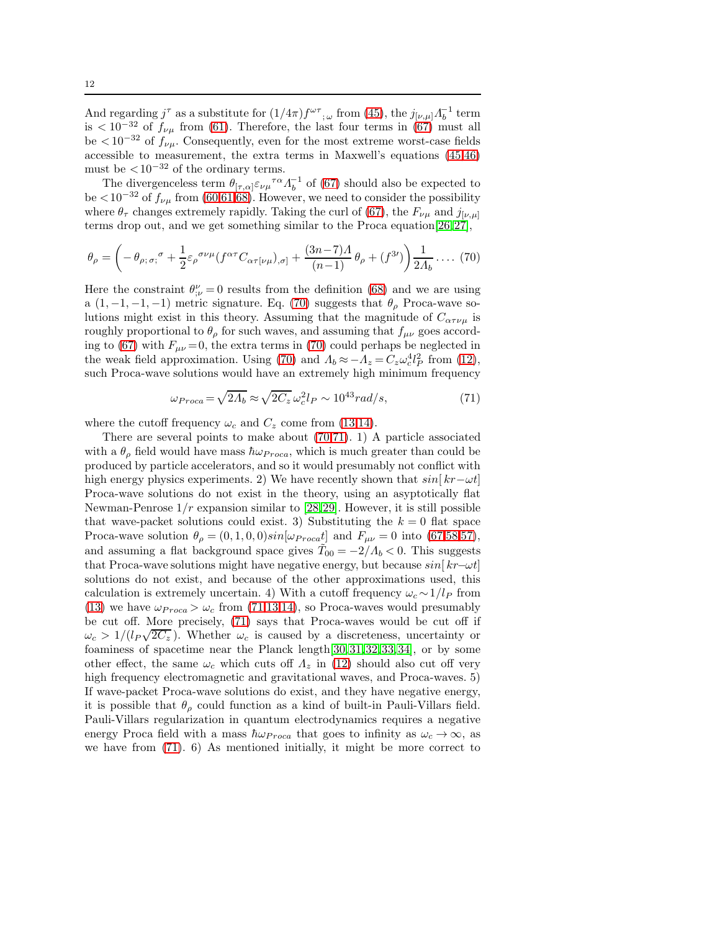And regarding  $j^{\tau}$  as a substitute for  $(1/4\pi) f^{\omega\tau}$ ,  $\omega$  from [\(45\)](#page-7-3), the  $j_{[\nu,\mu]} \Lambda_b^{-1}$  term is  $\lt 10^{-32}$  of  $f_{\nu\mu}$  from [\(61\)](#page-9-4). Therefore, the last four terms in [\(67\)](#page-10-2) must all be  $\lt 10^{-32}$  of  $f_{\nu\mu}$ . Consequently, even for the most extreme worst-case fields accessible to measurement, the extra terms in Maxwell's equations [\(45,46\)](#page-7-3) must be  $\langle 10^{-32}$  of the ordinary terms.

The divergenceless term  $\theta_{[\tau,\alpha]} \varepsilon_{\nu\mu}^{\tau\alpha} A_b^{-1}$  of [\(67\)](#page-10-2) should also be expected to be  $\lt 10^{-32}$  of  $f_{\nu\mu}$  from [\(60,61,](#page-9-4)[68\)](#page-10-3). However, we need to consider the possibility where  $\theta_{\tau}$  changes extremely rapidly. Taking the curl of [\(67\)](#page-10-2), the  $F_{\nu\mu}$  and  $j_{\nu,\mu}$ ] terms drop out, and we get something similar to the Proca equation[\[26,](#page-22-1)[27\]](#page-22-2),

<span id="page-11-0"></span>
$$
\theta_{\rho} = \left(-\theta_{\rho;\,\sigma;\,\,}{}^{\sigma} + \frac{1}{2}\varepsilon_{\rho}{}^{\sigma\nu\mu}(f^{\alpha\tau}C_{\alpha\tau[\nu\mu}),_{\sigma]} + \frac{(3n-7)\Lambda}{(n-1)}\theta_{\rho} + (f^{3\prime})\right)\frac{1}{2\Lambda_b} \ldots \tag{70}
$$

Here the constraint  $\theta^{\nu}_{;\nu} = 0$  results from the definition [\(68\)](#page-10-3) and we are using a  $(1, -1, -1, -1)$  metric signature. Eq. [\(70\)](#page-11-0) suggests that  $\theta_{\rho}$  Proca-wave solutions might exist in this theory. Assuming that the magnitude of  $C_{\alpha\tau\nu\mu}$  is roughly proportional to  $\theta_{\rho}$  for such waves, and assuming that  $f_{\mu\nu}$  goes accord-ing to [\(67\)](#page-10-2) with  $F_{\mu\nu} = 0$ , the extra terms in [\(70\)](#page-11-0) could perhaps be neglected in the weak field approximation. Using [\(70\)](#page-11-0) and  $\Lambda_b \approx -\Lambda_z = C_z \omega_c^4 l_P^2$  from [\(12\)](#page-3-4), such Proca-wave solutions would have an extremely high minimum frequency

<span id="page-11-1"></span>
$$
\omega_{Proca} = \sqrt{2A_b} \approx \sqrt{2C_z} \,\omega_c^2 l_P \sim 10^{43} rad/s,\tag{71}
$$

where the cutoff frequency  $\omega_c$  and  $C_z$  come from [\(13,14\)](#page-3-4).

There are several points to make about [\(70](#page-11-0)[,71\)](#page-11-1). 1) A particle associated with a  $\theta_{\rho}$  field would have mass  $\hbar \omega_{Proca}$ , which is much greater than could be produced by particle accelerators, and so it would presumably not conflict with high energy physics experiments. 2) We have recently shown that  $sin[kr-\omega t]$ Proca-wave solutions do not exist in the theory, using an asyptotically flat Newman-Penrose  $1/r$  expansion similar to [\[28,](#page-22-3) [29\]](#page-22-4). However, it is still possible that wave-packet solutions could exist. 3) Substituting the  $k = 0$  flat space Proca-wave solution  $\theta_{\rho} = (0, 1, 0, 0)sin[\omega_{Proca}t]$  and  $F_{\mu\nu} = 0$  into  $(67, 58, 57)$ , and assuming a flat background space gives  $\tilde{T}_{00} = -2/\Lambda_b < 0$ . This suggests that Proca-wave solutions might have negative energy, but because  $sin[kr-\omega t]$ solutions do not exist, and because of the other approximations used, this calculation is extremely uncertain. 4) With a cutoff frequency  $\omega_c \sim 1/l_P$  from [\(13\)](#page-3-4) we have  $\omega_{Proca} > \omega_c$  from [\(71,](#page-11-1)[13,14\)](#page-3-4), so Proca-waves would presumably be cut off. More precisely, [\(71\)](#page-11-1) says that Proca-waves would be cut off if  $\omega_c > 1/(l_P\sqrt{2C_z})$ . Whether  $\omega_c$  is caused by a discreteness, uncertainty or foaminess of spacetime near the Planck length[\[30,](#page-22-5)[31,](#page-22-6)[32,](#page-22-7)[33,](#page-22-8)[34\]](#page-22-9), or by some other effect, the same  $\omega_c$  which cuts off  $\Lambda_z$  in [\(12\)](#page-3-4) should also cut off very high frequency electromagnetic and gravitational waves, and Proca-waves. 5) If wave-packet Proca-wave solutions do exist, and they have negative energy, it is possible that  $\theta_{\rho}$  could function as a kind of built-in Pauli-Villars field. Pauli-Villars regularization in quantum electrodynamics requires a negative energy Proca field with a mass  $\hbar\omega_{Proca}$  that goes to infinity as  $\omega_c \to \infty$ , as we have from [\(71\)](#page-11-1). 6) As mentioned initially, it might be more correct to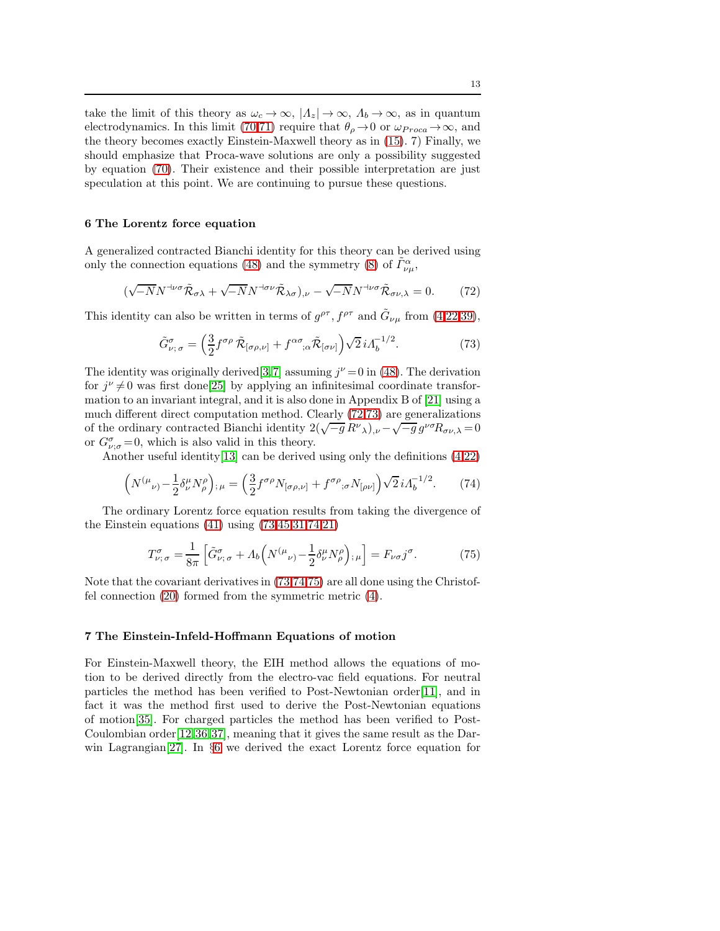take the limit of this theory as  $\omega_c \to \infty$ ,  $|A_z| \to \infty$ ,  $A_b \to \infty$ , as in quantum electrodynamics. In this limit [\(70,](#page-11-0)[71\)](#page-11-1) require that  $\theta_{\rho} \rightarrow 0$  or  $\omega_{Proca} \rightarrow \infty$ , and the theory becomes exactly Einstein-Maxwell theory as in [\(15\)](#page-3-6). 7) Finally, we should emphasize that Proca-wave solutions are only a possibility suggested by equation [\(70\)](#page-11-0). Their existence and their possible interpretation are just speculation at this point. We are continuing to pursue these questions.

#### <span id="page-12-0"></span>6 The Lorentz force equation

A generalized contracted Bianchi identity for this theory can be derived using only the connection equations [\(48\)](#page-8-3) and the symmetry [\(8\)](#page-3-1) of  $\tilde{\Gamma}_{\nu\mu}^{\alpha}$ ,

<span id="page-12-2"></span>
$$
(\sqrt{-N}N^{+\nu\sigma}\tilde{\mathcal{R}}_{\sigma\lambda} + \sqrt{-N}N^{+\sigma\nu}\tilde{\mathcal{R}}_{\lambda\sigma})_{,\nu} - \sqrt{-N}N^{+\nu\sigma}\tilde{\mathcal{R}}_{\sigma\nu,\lambda} = 0. \tag{72}
$$

This identity can also be written in terms of  $g^{\rho\tau}$ ,  $f^{\rho\tau}$  and  $\tilde{G}_{\nu\mu}$  from [\(4](#page-2-1)[,22](#page-4-2)[,39\)](#page-6-3),

<span id="page-12-3"></span>
$$
\tilde{G}^{\sigma}_{\nu;\,\sigma} = \left(\frac{3}{2} f^{\sigma\rho} \,\tilde{\mathcal{R}}_{[\sigma\rho,\nu]} + f^{\alpha\sigma}_{;\alpha} \tilde{\mathcal{R}}_{[\sigma\nu]}\right) \sqrt{2} \, i \Lambda_b^{-1/2}.\tag{73}
$$

The identity was originally derived [\[3,](#page-21-2)[7\]](#page-21-6) assuming  $j^{\nu} = 0$  in [\(48\)](#page-8-3). The derivation for  $j^{\nu} \neq 0$  was first done[\[25\]](#page-22-0) by applying an infinitesimal coordinate transformation to an invariant integral, and it is also done in Appendix B of [\[21\]](#page-21-20) using a much different direct computation method. Clearly [\(72,](#page-12-2)[73\)](#page-12-3) are generalizations of the ordinary contracted Bianchi identity  $2(\sqrt{-g}R^{\nu}\lambda)_{,\nu} - \sqrt{-g}g^{\nu\sigma}R_{\sigma\nu,\lambda} = 0$ or  $G_{\nu;\sigma}^{\sigma}=0$ , which is also valid in this theory.

Another useful identity[\[13\]](#page-21-12) can be derived using only the definitions [\(4](#page-2-1)[,22\)](#page-4-2)

<span id="page-12-4"></span>
$$
\left(N^{(\mu}{}_{\nu)} - \frac{1}{2}\delta^{\mu}_{\nu}N^{\rho}_{\rho}\right)_{;\,\mu} = \left(\frac{3}{2}f^{\sigma\rho}N_{[\sigma\rho,\nu]} + f^{\sigma\rho}{}_{;\sigma}N_{[\rho\nu]}\right)\sqrt{2}i\Lambda_b^{-1/2}.\tag{74}
$$

The ordinary Lorentz force equation results from taking the divergence of the Einstein equations  $(41)$  using  $(73, 45, 31, 74, 21)$  $(73, 45, 31, 74, 21)$  $(73, 45, 31, 74, 21)$  $(73, 45, 31, 74, 21)$ 

<span id="page-12-5"></span>
$$
T^{\sigma}_{\nu;\,\sigma} = \frac{1}{8\pi} \left[ \tilde{G}^{\sigma}_{\nu;\,\sigma} + A_b \Big( N^{(\mu}{}_{\nu)} - \frac{1}{2} \delta^{\mu}_{\nu} N^{\rho}_{\rho} \Big)_{;\,\mu} \right] = F_{\nu\sigma} j^{\sigma}.
$$
 (75)

Note that the covariant derivatives in [\(73](#page-12-3)[,74](#page-12-4)[,75\)](#page-12-5) are all done using the Christoffel connection [\(20\)](#page-4-0) formed from the symmetric metric [\(4\)](#page-2-1).

## <span id="page-12-1"></span>7 The Einstein-Infeld-Hoffmann Equations of motion

For Einstein-Maxwell theory, the EIH method allows the equations of motion to be derived directly from the electro-vac field equations. For neutral particles the method has been verified to Post-Newtonian order[\[11\]](#page-21-10), and in fact it was the method first used to derive the Post-Newtonian equations of motion[\[35\]](#page-22-10). For charged particles the method has been verified to Post-Coulombian order[\[12,](#page-21-11)[36,](#page-22-11)[37\]](#page-22-12), meaning that it gives the same result as the Dar-win Lagrangian<sup>[\[27\]](#page-22-2)</sup>. In §[6](#page-12-0) we derived the exact Lorentz force equation for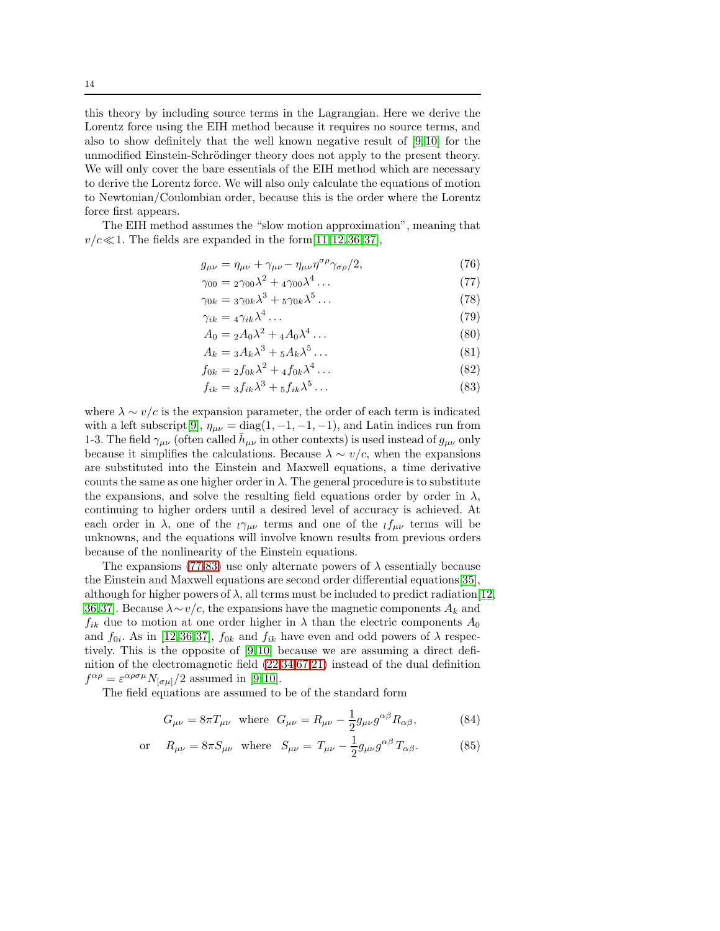this theory by including source terms in the Lagrangian. Here we derive the Lorentz force using the EIH method because it requires no source terms, and also to show definitely that the well known negative result of [\[9,](#page-21-8)[10\]](#page-21-9) for the unmodified Einstein-Schrödinger theory does not apply to the present theory. We will only cover the bare essentials of the EIH method which are necessary to derive the Lorentz force. We will also only calculate the equations of motion to Newtonian/Coulombian order, because this is the order where the Lorentz force first appears.

The EIH method assumes the "slow motion approximation", meaning that  $v/c \ll 1$ . The fields are expanded in the form[\[11,](#page-21-10)[12,](#page-21-11)[36,](#page-22-11)[37\]](#page-22-12),

<span id="page-13-0"></span>
$$
g_{\mu\nu} = \eta_{\mu\nu} + \gamma_{\mu\nu} - \eta_{\mu\nu}\eta^{\sigma\rho}\gamma_{\sigma\rho}/2, \qquad (76)
$$

$$
\gamma_{00} = 2\gamma_{00}\lambda^2 + 4\gamma_{00}\lambda^4\ldots\tag{77}
$$

$$
\gamma_{0k} = 3\gamma_{0k}\lambda^3 + 5\gamma_{0k}\lambda^5 \dots \tag{78}
$$

$$
\gamma_{ik} = 4\gamma_{ik}\lambda^4 \dots \tag{79}
$$

$$
A_0 = {}_2A_0\lambda^2 + {}_4A_0\lambda^4 \dots \tag{80}
$$

$$
A_k = {}_3A_k\lambda^3 + {}_5A_k\lambda^5 \dots \tag{81}
$$

$$
f_{0k} = 2f_{0k}\lambda^2 + 4f_{0k}\lambda^4 \dots \tag{82}
$$

$$
f_{ik} = 3f_{ik}\lambda^3 + 5f_{ik}\lambda^5 \dots \tag{83}
$$

where  $\lambda \sim v/c$  is the expansion parameter, the order of each term is indicated with a left subscript[\[9\]](#page-21-8),  $\eta_{\mu\nu} = \text{diag}(1, -1, -1, -1)$ , and Latin indices run from 1-3. The field  $\gamma_{\mu\nu}$  (often called  $\bar{h}_{\mu\nu}$  in other contexts) is used instead of  $g_{\mu\nu}$  only because it simplifies the calculations. Because  $\lambda \sim v/c$ , when the expansions are substituted into the Einstein and Maxwell equations, a time derivative counts the same as one higher order in  $\lambda$ . The general procedure is to substitute the expansions, and solve the resulting field equations order by order in  $\lambda$ , continuing to higher orders until a desired level of accuracy is achieved. At each order in  $\lambda$ , one of the  $\iota \gamma_{\mu\nu}$  terms and one of the  $\iota f_{\mu\nu}$  terms will be unknowns, and the equations will involve known results from previous orders because of the nonlinearity of the Einstein equations.

The expansions [\(77-83\)](#page-13-0) use only alternate powers of  $\lambda$  essentially because the Einstein and Maxwell equations are second order differential equations[\[35\]](#page-22-10), although for higher powers of  $\lambda$ , all terms must be included to predict radiation [\[12,](#page-21-11) [36,](#page-22-11)[37\]](#page-22-12). Because  $\lambda \sim v/c$ , the expansions have the magnetic components  $A_k$  and  $f_{ik}$  due to motion at one order higher in  $\lambda$  than the electric components  $A_0$ and  $f_{0i}$ . As in [\[12,](#page-21-11)[36,](#page-22-11)[37\]](#page-22-12),  $f_{0k}$  and  $f_{ik}$  have even and odd powers of  $\lambda$  respectively. This is the opposite of [\[9,](#page-21-8)[10\]](#page-21-9) because we are assuming a direct definition of the electromagnetic field [\(22,](#page-4-2)[34](#page-6-1)[,67](#page-10-2)[,21\)](#page-4-1) instead of the dual definition  $f^{\alpha \rho} = \varepsilon^{\alpha \rho \sigma \mu} N_{[\sigma \mu]} / 2$  assumed in [\[9,](#page-21-8)[10\]](#page-21-9).

The field equations are assumed to be of the standard form

$$
G_{\mu\nu} = 8\pi T_{\mu\nu} \text{ where } G_{\mu\nu} = R_{\mu\nu} - \frac{1}{2}g_{\mu\nu}g^{\alpha\beta}R_{\alpha\beta}, \qquad (84)
$$

<span id="page-13-1"></span>or 
$$
R_{\mu\nu} = 8\pi S_{\mu\nu}
$$
 where  $S_{\mu\nu} = T_{\mu\nu} - \frac{1}{2} g_{\mu\nu} g^{\alpha\beta} T_{\alpha\beta}$ . (85)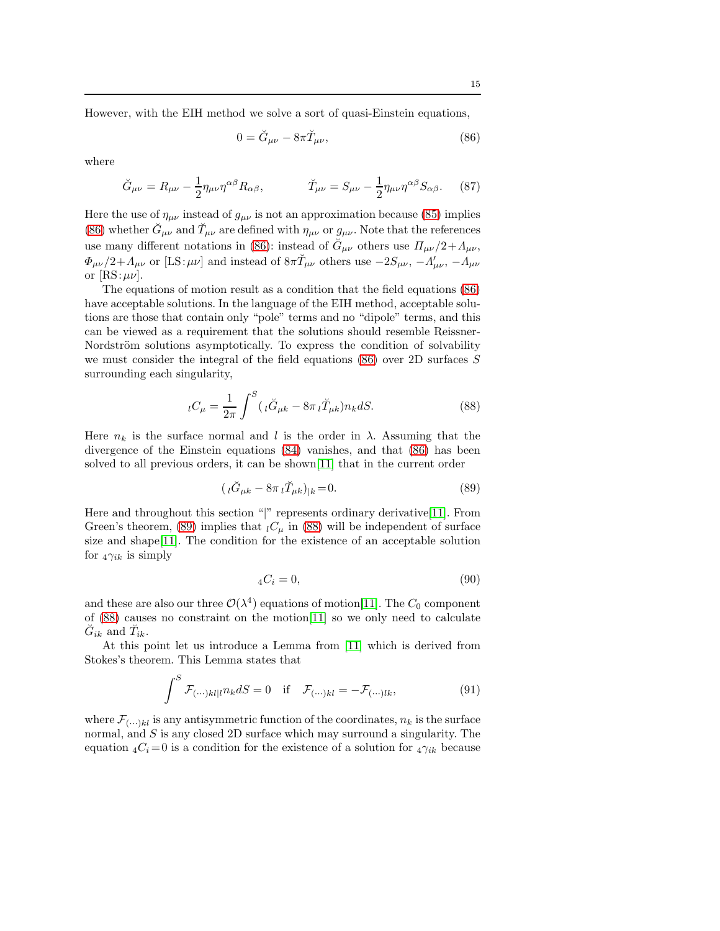However, with the EIH method we solve a sort of quasi-Einstein equations,

<span id="page-14-0"></span>
$$
0 = \breve{G}_{\mu\nu} - 8\pi \breve{T}_{\mu\nu},\tag{86}
$$

where

<span id="page-14-5"></span>
$$
\breve{G}_{\mu\nu} = R_{\mu\nu} - \frac{1}{2} \eta_{\mu\nu} \eta^{\alpha\beta} R_{\alpha\beta}, \qquad \breve{T}_{\mu\nu} = S_{\mu\nu} - \frac{1}{2} \eta_{\mu\nu} \eta^{\alpha\beta} S_{\alpha\beta}.
$$
 (87)

Here the use of  $\eta_{\mu\nu}$  instead of  $g_{\mu\nu}$  is not an approximation because [\(85\)](#page-13-1) implies [\(86\)](#page-14-0) whether  $\check{G}_{\mu\nu}$  and  $\check{T}_{\mu\nu}$  are defined with  $\eta_{\mu\nu}$  or  $g_{\mu\nu}$ . Note that the references use many different notations in [\(86\)](#page-14-0): instead of  $\ddot{G}_{\mu\nu}$  others use  $\Pi_{\mu\nu}/2 + A_{\mu\nu}$ ,  $\Phi_{\mu\nu}/2+\Lambda_{\mu\nu}$  or [LS: $\mu\nu$ ] and instead of  $8\pi\check{T}_{\mu\nu}$  others use  $-2S_{\mu\nu}$ ,  $-\Lambda'_{\mu\nu}$ ,  $-\Lambda_{\mu\nu}$ or  $[RS:\mu\nu].$ 

The equations of motion result as a condition that the field equations [\(86\)](#page-14-0) have acceptable solutions. In the language of the EIH method, acceptable solutions are those that contain only "pole" terms and no "dipole" terms, and this can be viewed as a requirement that the solutions should resemble Reissner-Nordström solutions asymptotically. To express the condition of solvability we must consider the integral of the field equations  $(86)$  over 2D surfaces S surrounding each singularity,

<span id="page-14-2"></span>
$$
{}_{l}C_{\mu} = \frac{1}{2\pi} \int_{0}^{S} (i\breve{G}_{\mu k} - 8\pi i \breve{T}_{\mu k}) n_{k} dS. \tag{88}
$$

Here  $n_k$  is the surface normal and l is the order in  $\lambda$ . Assuming that the divergence of the Einstein equations [\(84\)](#page-13-1) vanishes, and that [\(86\)](#page-14-0) has been solved to all previous orders, it can be shown[\[11\]](#page-21-10) that in the current order

<span id="page-14-1"></span>
$$
(\,_{l}\breve{G}_{\mu k} - 8\pi \,_{l}\breve{T}_{\mu k})_{|k} = 0. \tag{89}
$$

Here and throughout this section "|" represents ordinary derivative[\[11\]](#page-21-10). From Green's theorem, [\(89\)](#page-14-1) implies that  $_lC_\mu$  in [\(88\)](#page-14-2) will be independent of surface size and shape[\[11\]](#page-21-10). The condition for the existence of an acceptable solution for  $_4\gamma_{ik}$  is simply

<span id="page-14-4"></span>
$$
{}_{4}C_{i}=0,\t\t(90)
$$

and these are also our three  $\mathcal{O}(\lambda^4)$  equations of motion[\[11\]](#page-21-10). The  $C_0$  component of [\(88\)](#page-14-2) causes no constraint on the motion[\[11\]](#page-21-10) so we only need to calculate  $\check{G}_{ik}$  and  $\check{T}_{ik}$ .

At this point let us introduce a Lemma from [\[11\]](#page-21-10) which is derived from Stokes's theorem. This Lemma states that

<span id="page-14-3"></span>
$$
\int^{S} \mathcal{F}_{(\cdots)kl|l} n_{k} dS = 0 \quad \text{if} \quad \mathcal{F}_{(\cdots)kl} = -\mathcal{F}_{(\cdots)lk}, \tag{91}
$$

where  $\mathcal{F}_{(\cdot\cdot\cdot)kl}$  is any antisymmetric function of the coordinates,  $n_k$  is the surface normal, and  $S$  is any closed 2D surface which may surround a singularity. The equation  ${}_{4}C_{i} = 0$  is a condition for the existence of a solution for  ${}_{4}\gamma_{ik}$  because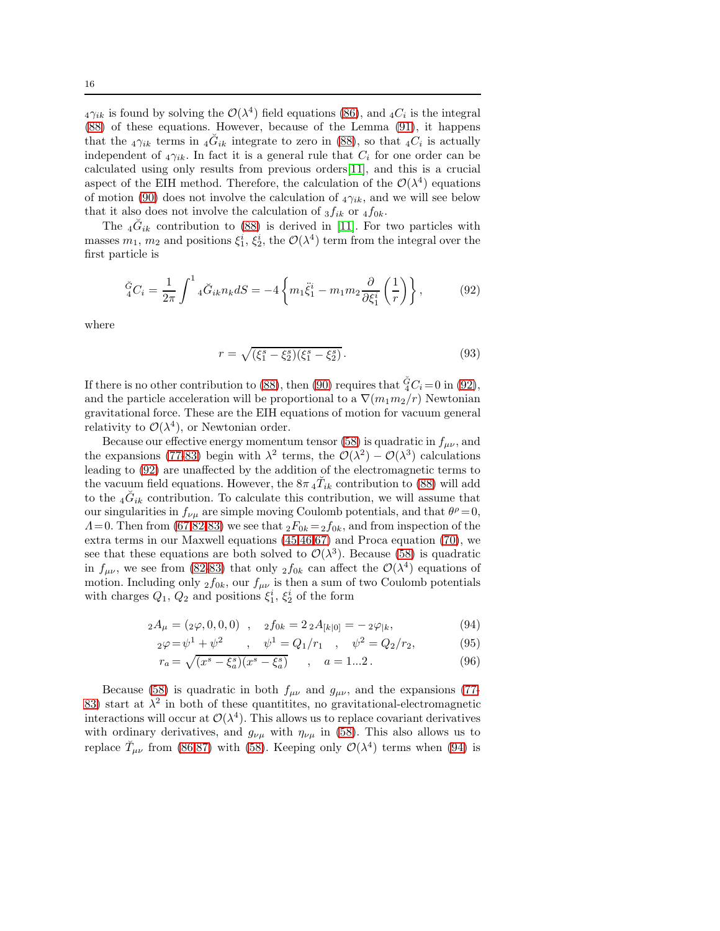$_4\gamma_{ik}$  is found by solving the  $\mathcal{O}(\lambda^4)$  field equations [\(86\)](#page-14-0), and  $_4C_i$  is the integral [\(88\)](#page-14-2) of these equations. However, because of the Lemma [\(91\)](#page-14-3), it happens that the  $_4\gamma_{ik}$  terms in  $_4\check{G}_{ik}$  integrate to zero in [\(88\)](#page-14-2), so that  $_4C_i$  is actually independent of  $_4\gamma_{ik}$ . In fact it is a general rule that  $C_i$  for one order can be calculated using only results from previous orders[\[11\]](#page-21-10), and this is a crucial aspect of the EIH method. Therefore, the calculation of the  $\mathcal{O}(\lambda^4)$  equations of motion [\(90\)](#page-14-4) does not involve the calculation of  $_4\gamma_{ik}$ , and we will see below that it also does not involve the calculation of  $_3f_{ik}$  or  $_4f_{0k}$ .

The  $\tilde{q} \tilde{G}_{ik}$  contribution to [\(88\)](#page-14-2) is derived in [\[11\]](#page-21-10). For two particles with masses  $m_1$ ,  $m_2$  and positions  $\xi_1^i$ ,  $\xi_2^i$ , the  $\mathcal{O}(\lambda^4)$  term from the integral over the first particle is

<span id="page-15-0"></span>
$$
\check{q}C_i = \frac{1}{2\pi} \int^1 {}_4 \check{G}_{ik} n_k dS = -4 \left\{ m_1 \ddot{\xi}_1^i - m_1 m_2 \frac{\partial}{\partial \xi_1^i} \left( \frac{1}{r} \right) \right\},\tag{92}
$$

where

$$
r = \sqrt{(\xi_1^s - \xi_2^s)(\xi_1^s - \xi_2^s)}.
$$
\n(93)

If there is no other contribution to [\(88\)](#page-14-2), then [\(90\)](#page-14-4) requires that  $\check{q}C_i=0$  in [\(92\)](#page-15-0), and the particle acceleration will be proportional to a  $\nabla (m_1m_2/r)$  Newtonian gravitational force. These are the EIH equations of motion for vacuum general relativity to  $\mathcal{O}(\lambda^4)$ , or Newtonian order.

Because our effective energy momentum tensor [\(58\)](#page-9-3) is quadratic in  $f_{\mu\nu}$ , and the expansions [\(77-83\)](#page-13-0) begin with  $\lambda^2$  terms, the  $\mathcal{O}(\lambda^2) - \mathcal{O}(\lambda^3)$  calculations leading to [\(92\)](#page-15-0) are unaffected by the addition of the electromagnetic terms to the vacuum field equations. However, the  $8\pi \, \frac{1}{4} \tilde{T}_{ik}$  contribution to [\(88\)](#page-14-2) will add to the  $_4\check{G}_{ik}$  contribution. To calculate this contribution, we will assume that our singularities in  $f_{\nu\mu}$  are simple moving Coulomb potentials, and that  $\theta^{\rho} = 0$ ,  $\Lambda = 0$ . Then from [\(67,](#page-10-2)[82-83\)](#page-13-0) we see that  ${}_2F_{0k} = {}_2f_{0k}$ , and from inspection of the extra terms in our Maxwell equations [\(45,46](#page-7-3)[,67\)](#page-10-2) and Proca equation [\(70\)](#page-11-0), we see that these equations are both solved to  $\mathcal{O}(\lambda^3)$ . Because [\(58\)](#page-9-3) is quadratic in  $f_{\mu\nu}$ , we see from [\(82-83\)](#page-13-0) that only  $_2 f_{0k}$  can affect the  $\mathcal{O}(\lambda^4)$  equations of motion. Including only  $_2f_{0k}$ , our  $f_{\mu\nu}$  is then a sum of two Coulomb potentials with charges  $Q_1, Q_2$  and positions  $\xi_1^i, \xi_2^i$  of the form

<span id="page-15-1"></span>
$$
{}_{2}A_{\mu} = ({}_{2}\varphi, 0, 0, 0) , \quad {}_{2}f_{0k} = 2\,{}_{2}A_{[k|0]} = -\,{}_{2}\varphi_{|k}, \tag{94}
$$

$$
{}_2\varphi = \psi^1 + \psi^2 \qquad , \quad \psi^1 = Q_1/r_1 \quad , \quad \psi^2 = Q_2/r_2, \tag{95}
$$

$$
r_a = \sqrt{(x^s - \xi_a^s)(x^s - \xi_a^s)} \qquad , \quad a = 1...2 \,. \tag{96}
$$

Because [\(58\)](#page-9-3) is quadratic in both  $f_{\mu\nu}$  and  $g_{\mu\nu}$ , and the expansions [\(77-](#page-13-0) [83\)](#page-13-0) start at  $\lambda^2$  in both of these quantitites, no gravitational-electromagnetic interactions will occur at  $\mathcal{O}(\lambda^4)$ . This allows us to replace covariant derivatives with ordinary derivatives, and  $g_{\nu\mu}$  with  $\eta_{\nu\mu}$  in [\(58\)](#page-9-3). This also allows us to replace  $\tilde{T}_{\mu\nu}$  from [\(86](#page-14-0)[,87\)](#page-14-5) with [\(58\)](#page-9-3). Keeping only  $\mathcal{O}(\lambda^4)$  terms when [\(94\)](#page-15-1) is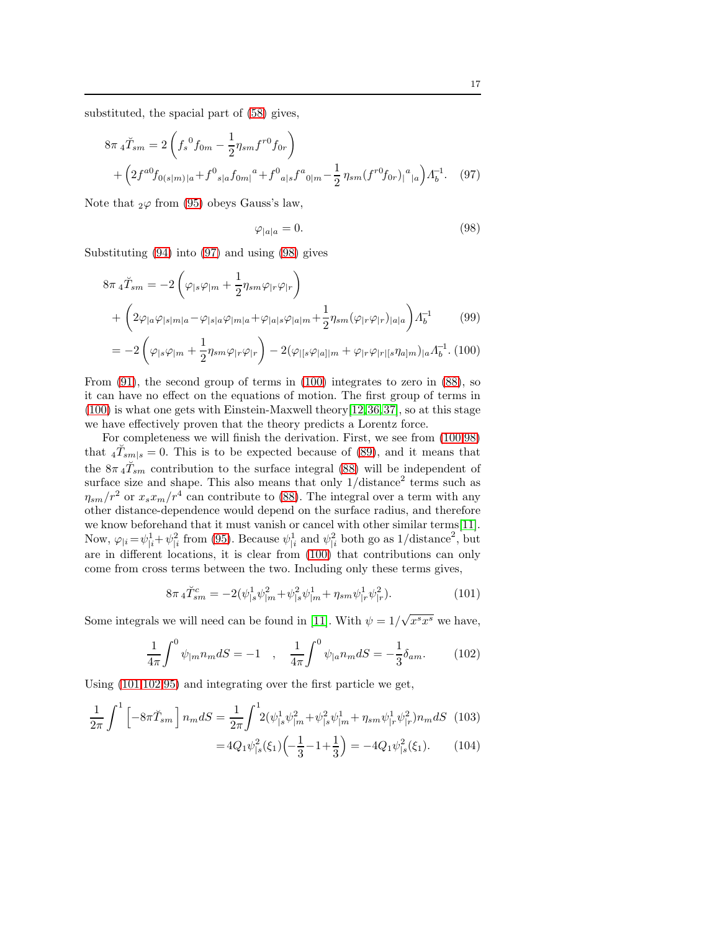substituted, the spacial part of [\(58\)](#page-9-3) gives,

<span id="page-16-0"></span>
$$
8\pi_4 \tilde{T}_{sm} = 2\left(f_s^0 f_{0m} - \frac{1}{2} \eta_{sm} f^{r0} f_{0r}\right) + \left(2f^{a0} f_{0(s|m)|a} + f^0{}_{s|a} f_{0m|}^a + f^0{}_{a|s} f^a{}_{0|m} - \frac{1}{2} \eta_{sm} (f^{r0} f_{0r})_{|a|}^a \right) A_b^{-1}.
$$
 (97)

Note that  $_2\varphi$  from [\(95\)](#page-15-1) obeys Gauss's law,

<span id="page-16-1"></span>
$$
\varphi_{|a|a} = 0. \tag{98}
$$

Substituting [\(94\)](#page-15-1) into [\(97\)](#page-16-0) and using [\(98\)](#page-16-1) gives

<span id="page-16-2"></span>
$$
8\pi 4\tilde{T}_{sm} = -2\left(\varphi_{|s}\varphi_{|m} + \frac{1}{2}\eta_{sm}\varphi_{|r}\varphi_{|r}\right)
$$

$$
+\left(2\varphi_{|a}\varphi_{|s|m|a} - \varphi_{|s|a}\varphi_{|m|a} + \varphi_{|a|s}\varphi_{|a|m} + \frac{1}{2}\eta_{sm}(\varphi_{|r}\varphi_{|r})_{|a|a}\right)A_b^{-1}
$$
(99)

$$
= -2\left(\varphi_{|s}\varphi_{|m} + \frac{1}{2}\eta_{sm}\varphi_{|r}\varphi_{|r}\right) - 2(\varphi_{|[s}\varphi_{|a]|m} + \varphi_{|r}\varphi_{|r|[s}\eta_{a|m})_{|a}\Lambda_b^{-1}.\ (100)
$$

From [\(91\)](#page-14-3), the second group of terms in [\(100\)](#page-16-2) integrates to zero in [\(88\)](#page-14-2), so it can have no effect on the equations of motion. The first group of terms in  $(100)$  is what one gets with Einstein-Maxwell theory [\[12,](#page-21-11) [36,](#page-22-11) [37\]](#page-22-12), so at this stage we have effectively proven that the theory predicts a Lorentz force.

For completeness we will finish the derivation. First, we see from [\(100](#page-16-2)[,98\)](#page-16-1) that  $\tilde{T}_{sm|s} = 0$ . This is to be expected because of [\(89\)](#page-14-1), and it means that the  $8\pi \hat{T}_{sm}$  contribution to the surface integral [\(88\)](#page-14-2) will be independent of surface size and shape. This also means that only  $1/d$  istance<sup>2</sup> terms such as  $\eta_{sm}/r^2$  or  $x_s x_m/r^4$  can contribute to [\(88\)](#page-14-2). The integral over a term with any other distance-dependence would depend on the surface radius, and therefore we know beforehand that it must vanish or cancel with other similar terms[\[11\]](#page-21-10). Now,  $\varphi_{i} = \psi_{i}^{1} + \psi_{i}^{2}$  from [\(95\)](#page-15-1). Because  $\psi_{i}^{1}$  and  $\psi_{i}^{2}$  both go as 1/distance<sup>2</sup>, but are in different locations, it is clear from [\(100\)](#page-16-2) that contributions can only come from cross terms between the two. Including only these terms gives,

<span id="page-16-3"></span>
$$
8\pi_4 \check{T}_{sm}^c = -2(\psi_{|s}^1 \psi_{|m}^2 + \psi_{|s}^2 \psi_{|m}^1 + \eta_{sm} \psi_{|r}^1 \psi_{|r}^2). \tag{101}
$$

Some integrals we will need can be found in [\[11\]](#page-21-10). With  $\psi = 1/\sqrt{x^s x^s}$  we have,

<span id="page-16-4"></span>
$$
\frac{1}{4\pi} \int^0 \psi_{|m} n_m dS = -1 \quad , \quad \frac{1}{4\pi} \int^0 \psi_{|a} n_m dS = -\frac{1}{3} \delta_{am}.
$$
 (102)

Using [\(101,](#page-16-3)[102,](#page-16-4)[95\)](#page-15-1) and integrating over the first particle we get,

<span id="page-16-5"></span>
$$
\frac{1}{2\pi} \int_{-\pi}^1 \left[ -8\pi \check{T}_{sm} \right] n_m dS = \frac{1}{2\pi} \int_{-\pi}^1 2(\psi_{|s}^1 \psi_{|m}^2 + \psi_{|s}^2 \psi_{|m}^1 + \eta_{sm} \psi_{|r}^1 \psi_{|r}^2) n_m dS \tag{103}
$$

$$
= 4Q_1 \psi_{|s}^2(\xi_1) \left( -\frac{1}{3} - 1 + \frac{1}{3} \right) = -4Q_1 \psi_{|s}^2(\xi_1). \tag{104}
$$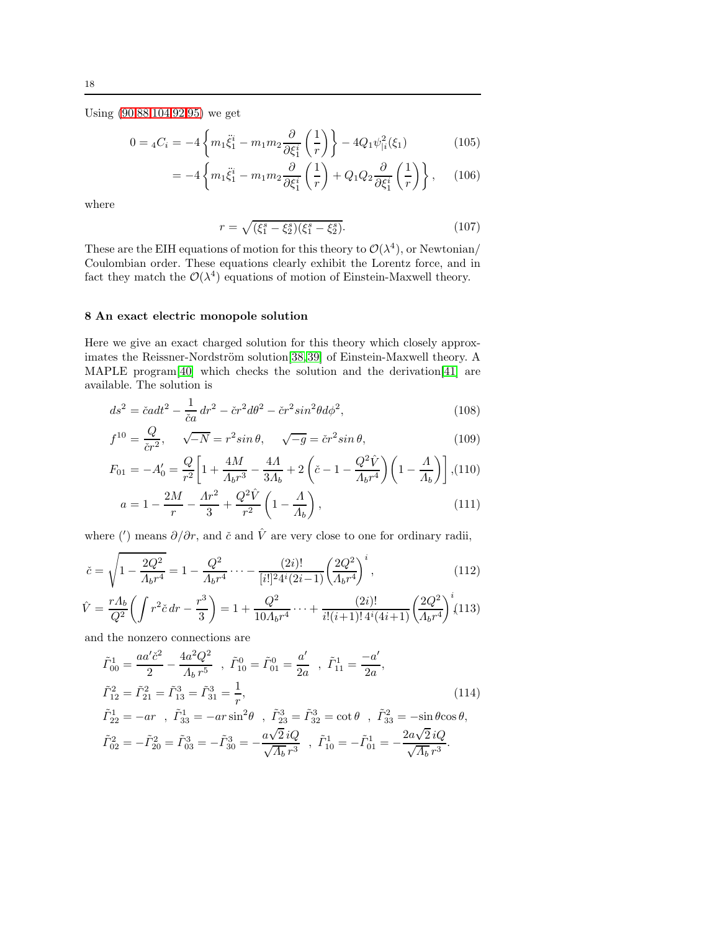Using [\(90,](#page-14-4)[88,](#page-14-2)[104](#page-16-5)[,92,](#page-15-0)[95\)](#page-15-1) we get

$$
0 = {}_{4}C_{i} = -4\left\{m_{1}\ddot{\xi}_{1}^{i} - m_{1}m_{2}\frac{\partial}{\partial\xi_{1}^{i}}\left(\frac{1}{r}\right)\right\} - 4Q_{1}\psi_{|i}^{2}(\xi_{1})\tag{105}
$$

$$
= -4 \left\{ m_1 \ddot{\xi}_1^i - m_1 m_2 \frac{\partial}{\partial \xi_1^i} \left( \frac{1}{r} \right) + Q_1 Q_2 \frac{\partial}{\partial \xi_1^i} \left( \frac{1}{r} \right) \right\}, \quad (106)
$$

where

$$
r = \sqrt{(\xi_1^s - \xi_2^s)(\xi_1^s - \xi_2^s)}.
$$
\n(107)

These are the EIH equations of motion for this theory to  $\mathcal{O}(\lambda^4)$ , or Newtonian/ Coulombian order. These equations clearly exhibit the Lorentz force, and in fact they match the  $\mathcal{O}(\lambda^4)$  equations of motion of Einstein-Maxwell theory.

## <span id="page-17-0"></span>8 An exact electric monopole solution

Here we give an exact charged solution for this theory which closely approx-imates the Reissner-Nordström solution[\[38,](#page-22-13)[39\]](#page-22-14) of Einstein-Maxwell theory. A MAPLE program[\[40\]](#page-22-15) which checks the solution and the derivation[\[41\]](#page-22-16) are available. The solution is

<span id="page-17-1"></span>
$$
ds^2 = \ddot{\epsilon}a dt^2 - \frac{1}{\ddot{\epsilon}a} dr^2 - \ddot{\epsilon}r^2 d\theta^2 - \ddot{\epsilon}r^2 \sin^2 \theta d\phi^2, \qquad (108)
$$

$$
f^{10} = \frac{Q}{\breve{c}r^2}, \quad \sqrt{-N} = r^2 \sin \theta, \quad \sqrt{-g} = \breve{c}r^2 \sin \theta,
$$
 (109)

$$
F_{01} = -A'_0 = \frac{Q}{r^2} \left[ 1 + \frac{4M}{A_b r^3} - \frac{4A}{3A_b} + 2\left(\check{c} - 1 - \frac{Q^2 \hat{V}}{A_b r^4}\right) \left(1 - \frac{A}{A_b}\right) \right],
$$
(110)

$$
a = 1 - \frac{2M}{r} - \frac{\Lambda r^2}{3} + \frac{Q^2 \hat{V}}{r^2} \left( 1 - \frac{\Lambda}{\Lambda_b} \right),\tag{111}
$$

where (') means  $\partial/\partial r$ , and č and  $\hat{V}$  are very close to one for ordinary radii,

<span id="page-17-2"></span>
$$
\check{c} = \sqrt{1 - \frac{2Q^2}{\Lambda_b r^4}} = 1 - \frac{Q^2}{\Lambda_b r^4} \cdots - \frac{(2i)!}{[i!]^2 4^i (2i - 1)} \left(\frac{2Q^2}{\Lambda_b r^4}\right)^i, \tag{112}
$$

$$
\hat{V} = \frac{rA_b}{Q^2} \left( \int r^2 \check{c} \, dr - \frac{r^3}{3} \right) = 1 + \frac{Q^2}{10A_b r^4} \cdots + \frac{(2i)!}{i!(i+1)! \, 4^i (4i+1)} \left( \frac{2Q^2}{A_b r^4} \right)^i (113)
$$

and the nonzero connections are

$$
\tilde{\Gamma}_{00}^{1} = \frac{aa'\tilde{c}^{2}}{2} - \frac{4a^{2}Q^{2}}{A_{b}r^{5}} , \quad \tilde{\Gamma}_{10}^{0} = \tilde{\Gamma}_{01}^{0} = \frac{a'}{2a} , \quad \tilde{\Gamma}_{11}^{1} = \frac{-a'}{2a},
$$
\n
$$
\tilde{\Gamma}_{12}^{2} = \tilde{\Gamma}_{21}^{2} = \tilde{\Gamma}_{13}^{3} = \tilde{\Gamma}_{31}^{3} = \frac{1}{r},
$$
\n
$$
\tilde{\Gamma}_{22}^{1} = -ar , \quad \tilde{\Gamma}_{33}^{1} = -ar \sin^{2}\theta , \quad \tilde{\Gamma}_{23}^{3} = \tilde{\Gamma}_{32}^{3} = \cot\theta , \quad \tilde{\Gamma}_{33}^{2} = -\sin\theta\cos\theta,
$$
\n
$$
\tilde{\Gamma}_{02}^{2} = -\tilde{\Gamma}_{20}^{2} = \tilde{\Gamma}_{03}^{3} = -\tilde{\Gamma}_{30}^{3} = -\frac{a\sqrt{2}iQ}{\sqrt{A_{b}}r^{3}} , \quad \tilde{\Gamma}_{10}^{1} = -\tilde{\Gamma}_{01}^{1} = -\frac{2a\sqrt{2}iQ}{\sqrt{A_{b}}r^{3}}.
$$
\n(114)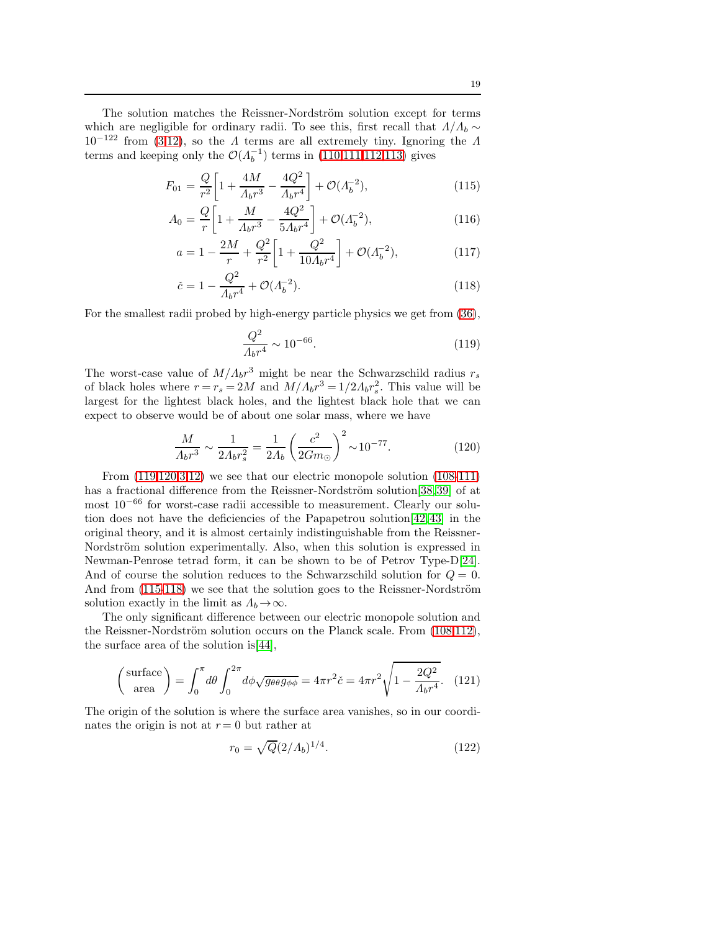The solution matches the Reissner-Nordström solution except for terms which are negligible for ordinary radii. To see this, first recall that  $\Lambda/\Lambda_b \sim$  $10^{-122}$  from [\(3](#page-2-5)[,12\)](#page-3-4), so the Λ terms are all extremely tiny. Ignoring the Λ terms and keeping only the  $\mathcal{O}(\Lambda_b^{-1})$  terms in [\(110,111,](#page-17-1)[112,113\)](#page-17-2) gives

<span id="page-18-2"></span>
$$
F_{01} = \frac{Q}{r^2} \left[ 1 + \frac{4M}{\Lambda_b r^3} - \frac{4Q^2}{\Lambda_b r^4} \right] + \mathcal{O}(\Lambda_b^{-2}),\tag{115}
$$

$$
A_0 = \frac{Q}{r} \left[ 1 + \frac{M}{\Lambda_b r^3} - \frac{4Q^2}{5\Lambda_b r^4} \right] + \mathcal{O}(\Lambda_b^{-2}),\tag{116}
$$

$$
a = 1 - \frac{2M}{r} + \frac{Q^2}{r^2} \left[ 1 + \frac{Q^2}{10A_b r^4} \right] + \mathcal{O}(A_b^{-2}),\tag{117}
$$

$$
\check{c} = 1 - \frac{Q^2}{\Lambda_b r^4} + \mathcal{O}(\Lambda_b^{-2}).
$$
\n(118)

For the smallest radii probed by high-energy particle physics we get from [\(36\)](#page-6-5),

<span id="page-18-0"></span>
$$
\frac{Q^2}{\Lambda_b r^4} \sim 10^{-66}.\tag{119}
$$

The worst-case value of  $M/\Lambda_b r^3$  might be near the Schwarzschild radius  $r_s$ of black holes where  $r = r_s = 2M$  and  $M/\Lambda_b r^3 = 1/2\Lambda_b r_s^2$ . This value will be largest for the lightest black holes, and the lightest black hole that we can expect to observe would be of about one solar mass, where we have

<span id="page-18-1"></span>
$$
\frac{M}{\Lambda_b r^3} \sim \frac{1}{2\Lambda_b r_s^2} = \frac{1}{2\Lambda_b} \left(\frac{c^2}{2Gm_{\odot}}\right)^2 \sim 10^{-77}.\tag{120}
$$

From [\(119](#page-18-0)[,120,](#page-18-1)[3,](#page-2-5)[12\)](#page-3-4) we see that our electric monopole solution [\(108-111\)](#page-17-1) has a fractional difference from the Reissner-Nordström solution[\[38,](#page-22-13)[39\]](#page-22-14) of at most 10<sup>−</sup><sup>66</sup> for worst-case radii accessible to measurement. Clearly our solution does not have the deficiencies of the Papapetrou solution[\[42,](#page-22-17)[43\]](#page-22-18) in the original theory, and it is almost certainly indistinguishable from the Reissner-Nordström solution experimentally. Also, when this solution is expressed in Newman-Penrose tetrad form, it can be shown to be of Petrov Type-D[\[24\]](#page-21-23). And of course the solution reduces to the Schwarzschild solution for  $Q = 0$ . And from  $(115-118)$  we see that the solution goes to the Reissner-Nordström solution exactly in the limit as  $\Lambda_b \to \infty$ .

The only significant difference between our electric monopole solution and the Reissner-Nordström solution occurs on the Planck scale. From  $(108,112)$  $(108,112)$ , the surface area of the solution is  $[44]$ ,

$$
\left(\frac{\text{surface}}{\text{area}}\right) = \int_0^\pi d\theta \int_0^{2\pi} d\phi \sqrt{g_{\theta\theta}g_{\phi\phi}} = 4\pi r^2 \check{c} = 4\pi r^2 \sqrt{1 - \frac{2Q^2}{\Lambda_b r^4}}.\tag{121}
$$

The origin of the solution is where the surface area vanishes, so in our coordinates the origin is not at  $r=0$  but rather at

$$
r_0 = \sqrt{Q} (2/\Lambda_b)^{1/4}.
$$
 (122)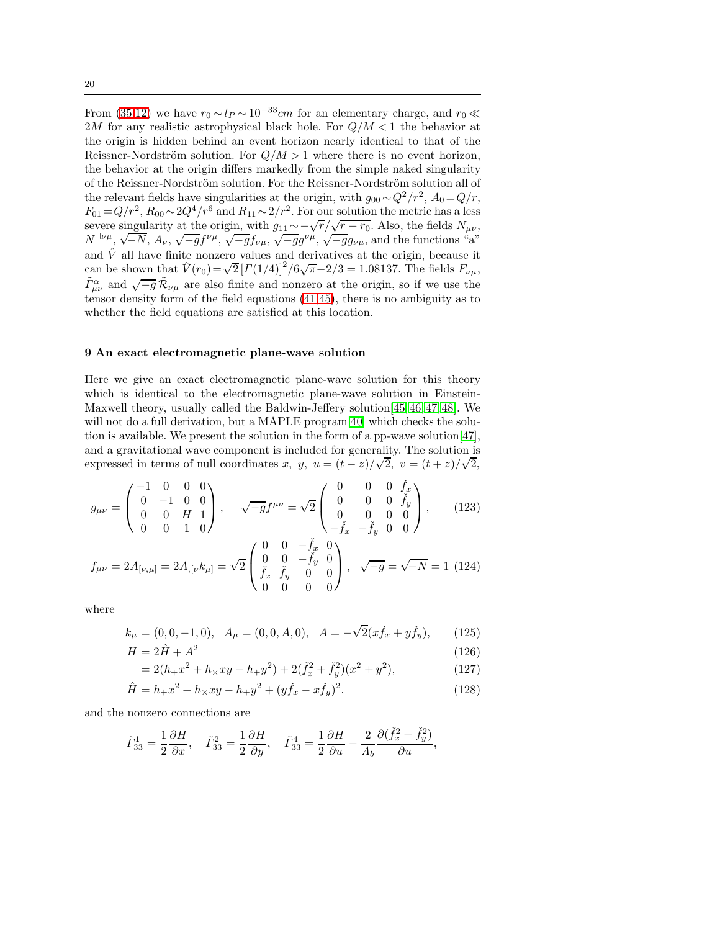From [\(35](#page-6-0)[,12\)](#page-3-4) we have  $r_0 \sim l_P \sim 10^{-33}$ cm for an elementary charge, and  $r_0 \ll$ 2M for any realistic astrophysical black hole. For  $Q/M < 1$  the behavior at the origin is hidden behind an event horizon nearly identical to that of the Reissner-Nordström solution. For  $Q/M > 1$  where there is no event horizon, the behavior at the origin differs markedly from the simple naked singularity of the Reissner-Nordström solution. For the Reissner-Nordström solution all of the relevant fields have singularities at the origin, with  $g_{00} \sim Q^2/r^2$ ,  $A_0 = Q/r$ ,  $F_{01} = Q/r^2$ ,  $R_{00} \sim 2Q^4/r^6$  and  $R_{11} \sim 2/r^2$ . For our solution the metric has a less severe singularity at the origin, with  $g_{11} \sim -\sqrt{r}/\sqrt{r-r_0}$ . Also, the fields  $N_{\mu\nu}$ ,  $N^{-\mu\nu}$ ,  $\sqrt{-N}$ ,  $A_{\nu}$ ,  $\sqrt{-g}f^{\nu\mu}$ ,  $\sqrt{-g}f_{\nu\mu}$ ,  $\sqrt{-g}g^{\nu\mu}$ ,  $\sqrt{-g}g_{\nu\mu}$ , and the functions "a" and  $\hat{V}$  all have finite nonzero values and derivatives at the origin, because it can be shown that  $\hat{V}(r_0) = \sqrt{2} [ \Gamma(1/4) ]^2 / 6 \sqrt{\pi} - 2/3 = 1.08137$ . The fields  $F_{\nu\mu}$ ,  $\tilde{\Gamma}^{\alpha}_{\mu\nu}$  and  $\sqrt{-g}\,\tilde{\mathcal{R}}_{\nu\mu}$  are also finite and nonzero at the origin, so if we use the tensor density form of the field equations [\(41](#page-7-0)[,45\)](#page-7-3), there is no ambiguity as to whether the field equations are satisfied at this location.

#### <span id="page-19-0"></span>9 An exact electromagnetic plane-wave solution

Here we give an exact electromagnetic plane-wave solution for this theory which is identical to the electromagnetic plane-wave solution in Einstein-Maxwell theory, usually called the Baldwin-Jeffery solution[\[45,](#page-22-20)[46,](#page-22-21)[47,](#page-22-22)[48\]](#page-22-23). We will not do a full derivation, but a MAPLE program [\[40\]](#page-22-15) which checks the solution is available. We present the solution in the form of a pp-wave solution  $|47|$ , and a gravitational wave component is included for generality. The solution is expressed in terms of null coordinates x, y,  $u = (t - z)/\sqrt{2}$ ,  $v = (t + z)/\sqrt{2}$ ,

$$
g_{\mu\nu} = \begin{pmatrix} -1 & 0 & 0 & 0 \\ 0 & -1 & 0 & 0 \\ 0 & 0 & H & 1 \\ 0 & 0 & 1 & 0 \end{pmatrix}, \quad \sqrt{-g}f^{\mu\nu} = \sqrt{2} \begin{pmatrix} 0 & 0 & 0 & \check{f}_x \\ 0 & 0 & 0 & \check{f}_y \\ 0 & 0 & 0 & 0 \\ -\check{f}_x & -\check{f}_y & 0 & 0 \end{pmatrix}, \quad (123)
$$

$$
f_{\mu\nu} = 2A_{[\nu,\mu]} = 2A_{,[\nu}k_{\mu]} = \sqrt{2} \begin{pmatrix} 0 & 0 & -\check{f}_x & 0 \\ 0 & 0 & -\check{f}_y & 0 \\ \check{f}_x & \check{f}_y & 0 & 0 \\ 0 & 0 & 0 & 0 \end{pmatrix}, \quad \sqrt{-g} = \sqrt{-N} = 1 \quad (124)
$$

where

 $\cal H$ 

$$
k_{\mu} = (0, 0, -1, 0), \quad A_{\mu} = (0, 0, A, 0), \quad A = -\sqrt{2}(x\check{f}_x + y\check{f}_y),
$$
 (125)

$$
=2\hat{H}+A^2\tag{126}
$$

$$
= 2(h_{+}x^{2} + h_{\times}xy - h_{+}y^{2}) + 2(\check{f}_{x}^{2} + \check{f}_{y}^{2})(x^{2} + y^{2}), \qquad (127)
$$

$$
\hat{H} = h_{+}x^{2} + h_{\times}xy - h_{+}y^{2} + (y\check{f}_{x} - x\check{f}_{y})^{2}.
$$
\n(128)

and the nonzero connections are

$$
\tilde{\varGamma}_{33}^1=\frac{1}{2}\frac{\partial H}{\partial x},\quad \tilde{\varGamma}_{33}^2=\frac{1}{2}\frac{\partial H}{\partial y},\quad \tilde{\varGamma}_{33}^4=\frac{1}{2}\frac{\partial H}{\partial u}-\frac{2}{\varLambda_b}\frac{\partial (\check{f}_x^2+\check{f}_y^2)}{\partial u},
$$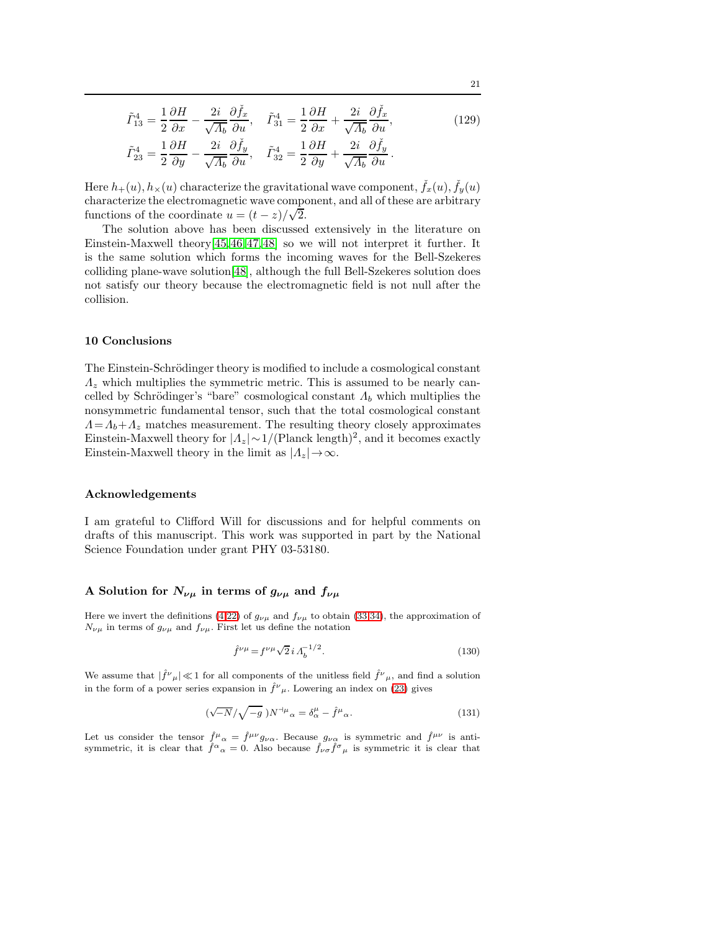$$
\tilde{\Gamma}_{13}^4 = \frac{1}{2} \frac{\partial H}{\partial x} - \frac{2i}{\sqrt{A_b}} \frac{\partial \check{f}_x}{\partial u}, \quad \tilde{\Gamma}_{31}^4 = \frac{1}{2} \frac{\partial H}{\partial x} + \frac{2i}{\sqrt{A_b}} \frac{\partial \check{f}_x}{\partial u}, \n\tilde{\Gamma}_{23}^4 = \frac{1}{2} \frac{\partial H}{\partial y} - \frac{2i}{\sqrt{A_b}} \frac{\partial \check{f}_y}{\partial u}, \quad \tilde{\Gamma}_{32}^4 = \frac{1}{2} \frac{\partial H}{\partial y} + \frac{2i}{\sqrt{A_b}} \frac{\partial \check{f}_y}{\partial u}.
$$
\n(129)

Here  $h_+(u), h_\times(u)$  characterize the gravitational wave component,  $\check{f}_x(u), \check{f}_y(u)$ characterize the electromagnetic wave component, and all of these are arbitrary functions of the coordinate  $u = (t - z)/\sqrt{2}$ .

The solution above has been discussed extensively in the literature on Einstein-Maxwell theory[\[45,](#page-22-20)[46,](#page-22-21)[47,](#page-22-22)[48\]](#page-22-23) so we will not interpret it further. It is the same solution which forms the incoming waves for the Bell-Szekeres colliding plane-wave solution[\[48\]](#page-22-23), although the full Bell-Szekeres solution does not satisfy our theory because the electromagnetic field is not null after the collision.

## 10 Conclusions

The Einstein-Schrödinger theory is modified to include a cosmological constant  $\Lambda_z$  which multiplies the symmetric metric. This is assumed to be nearly cancelled by Schrödinger's "bare" cosmological constant  $\Lambda_b$  which multiplies the nonsymmetric fundamental tensor, such that the total cosmological constant  $\Lambda = \Lambda_b + \Lambda_z$  matches measurement. The resulting theory closely approximates Einstein-Maxwell theory for  $|A_z| \sim 1/(\text{Planck length})^2$ , and it becomes exactly Einstein-Maxwell theory in the limit as  $|A_z| \rightarrow \infty$ .

#### Acknowledgements

I am grateful to Clifford Will for discussions and for helpful comments on drafts of this manuscript. This work was supported in part by the National Science Foundation under grant PHY 03-53180.

## <span id="page-20-0"></span>A Solution for  $N_{\nu\mu}$  in terms of  $g_{\nu\mu}$  and  $f_{\nu\mu}$

Here we invert the definitions [\(4,](#page-2-1)[22\)](#page-4-2) of  $g_{\nu\mu}$  and  $f_{\nu\mu}$  to obtain [\(33,34\)](#page-6-1), the approximation of  $N_{\nu\mu}$  in terms of  $g_{\nu\mu}$  and  $f_{\nu\mu}$ . First let us define the notation

<span id="page-20-2"></span>
$$
\hat{f}^{\nu\mu} = f^{\nu\mu}\sqrt{2} i \Lambda_b^{-1/2}.
$$
\n(130)

We assume that  $|\hat{f}^{\nu}{}_{\mu}| \ll 1$  for all components of the unitless field  $\hat{f}^{\nu}{}_{\mu}$ , and find a solution in the form of a power series expansion in  $\hat{f}^{\nu}{}_{\mu}$ . Lowering an index on [\(23\)](#page-4-3) gives

<span id="page-20-1"></span>
$$
\left(\sqrt{-N}/\sqrt{-g}\right)N^{-\mu}{}_{\alpha} = \delta^{\mu}_{\alpha} - \hat{f}^{\mu}{}_{\alpha}.\tag{131}
$$

Let us consider the tensor  $\hat{f}^{\mu}{}_{\alpha} = \hat{f}^{\mu\nu} g_{\nu\alpha}$ . Because  $g_{\nu\alpha}$  is symmetric and  $\hat{f}^{\mu\nu}$  is antisymmetric, it is clear that  $\hat{f}^{\alpha}{}_{\alpha} = 0$ . Also because  $\hat{f}_{\nu\sigma} f^{\sigma}{}_{\mu}$  is symmetric it is clear that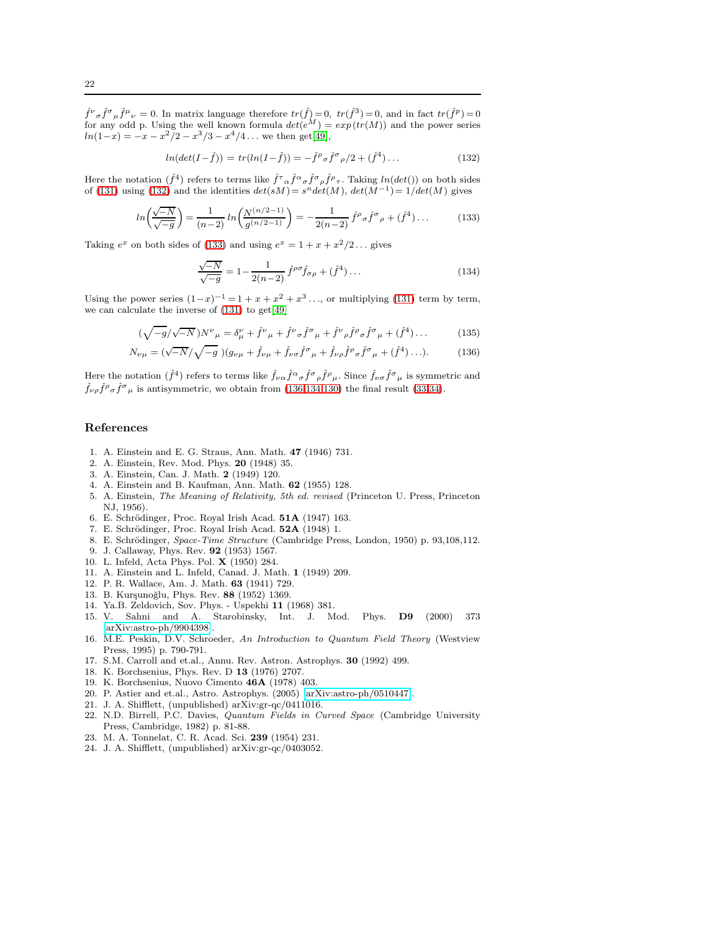$\hat{f}^{\nu}{}_{\sigma}\hat{f}^{\sigma}{}_{\mu}\hat{f}^{\mu}{}_{\nu}=0.$  In matrix language therefore  $tr(\hat{f})=0$ ,  $tr(\hat{f}^3)=0$ , and in fact  $tr(\hat{f}^p)=0$ for any odd p. Using the well known formula  $det(e^M) = exp(tr(M))$  and the power series  $ln(1-x) = -x - x^2/2 - x^3/3 - x^4/4...$  we then get[\[49\]](#page-22-24),

<span id="page-21-24"></span>
$$
ln(det(I - \hat{f})) = tr(ln(I - \hat{f})) = -\hat{f}^{\rho}{}_{\sigma}\hat{f}^{\sigma}{}_{\rho}/2 + (\hat{f}^{4})\dots
$$
\n(132)

Here the notation  $(\hat{f}^4)$  refers to terms like  $\hat{f}^{\tau}{}_{\alpha}\hat{f}^{\alpha}{}_{\sigma}\hat{f}^{\sigma}{}_{\rho}\hat{f}^{\rho}{}_{\tau}$ . Taking  $ln(det())$  on both sides of [\(131\)](#page-20-1) using [\(132\)](#page-21-24) and the identities  $det(sM) = s^n det(M)$ ,  $det(M^{-1}) = 1/det(M)$  gives

<span id="page-21-25"></span>
$$
ln\left(\frac{\sqrt{-N}}{\sqrt{-g}}\right) = \frac{1}{(n-2)} ln\left(\frac{N^{(n/2-1)}}{g^{(n/2-1)}}\right) = -\frac{1}{2(n-2)} \hat{f}^{\rho} \sigma \hat{f}^{\sigma}{}_{\rho} + (\hat{f}^{4}) \dots \tag{133}
$$

Taking  $e^x$  on both sides of [\(133\)](#page-21-25) and using  $e^x = 1 + x + x^2/2...$  gives

<span id="page-21-27"></span>
$$
\frac{\sqrt{-N}}{\sqrt{-g}} = 1 - \frac{1}{2(n-2)} \hat{f}^{\rho\sigma} \hat{f}_{\sigma\rho} + (\hat{f}^4) \dots \tag{134}
$$

Using the power series  $(1-x)^{-1} = 1 + x + x^2 + x^3 \dots$ , or multiplying [\(131\)](#page-20-1) term by term, we can calculate the inverse of  $(131)$  to get $[49]$ 

<span id="page-21-26"></span>
$$
(\sqrt{-g/\sqrt{-N}})N^{\nu}{}_{\mu} = \delta^{\nu}_{\mu} + \hat{f}^{\nu}{}_{\mu} + \hat{f}^{\nu}{}_{\sigma}\hat{f}^{\sigma}{}_{\mu} + \hat{f}^{\nu}{}_{\rho}\hat{f}^{\rho}{}_{\sigma}\hat{f}^{\sigma}{}_{\mu} + (\hat{f}^{4})\dots \tag{135}
$$

$$
N_{\nu\mu} = (\sqrt{-N}/\sqrt{-g})(g_{\nu\mu} + \hat{f}_{\nu\mu} + \hat{f}_{\nu\sigma}\hat{f}^{\sigma}{}_{\mu} + \hat{f}_{\nu\rho}\hat{f}^{\rho}{}_{\sigma}\hat{f}^{\sigma}{}_{\mu} + (\hat{f}^{4})\ldots). \tag{136}
$$

Here the notation  $(\hat{f}^4)$  refers to terms like  $\hat{f}_{\nu\alpha}\hat{f}^{\alpha}{}_{\sigma}\hat{f}^{\sigma}{}_{\rho}\hat{f}^{\rho}{}_{\mu}$ . Since  $\hat{f}_{\nu\sigma}\hat{f}^{\sigma}{}_{\mu}$  is symmetric and  $\hat{f}_{\nu\rho}\hat{f}^{\rho}\sigma\hat{f}^{\sigma}{}_{\mu}$  is antisymmetric, we obtain from [\(136,](#page-21-26)[134,](#page-21-27)[130\)](#page-20-2) the final result [\(33,34\)](#page-6-1).

### References

- <span id="page-21-1"></span><span id="page-21-0"></span>1. A. Einstein and E. G. Straus, Ann. Math. 47 (1946) 731.
- <span id="page-21-2"></span>2. A. Einstein, Rev. Mod. Phys. 20 (1948) 35.
- <span id="page-21-3"></span>3. A. Einstein, Can. J. Math. 2 (1949) 120.
- <span id="page-21-4"></span>4. A. Einstein and B. Kaufman, Ann. Math. 62 (1955) 128.
- 5. A. Einstein, The Meaning of Relativity, 5th ed. revised (Princeton U. Press, Princeton NJ, 1956).
- <span id="page-21-6"></span><span id="page-21-5"></span>6. E. Schrödinger, Proc. Royal Irish Acad. 51A (1947) 163.
- <span id="page-21-7"></span>7. E. Schrödinger, Proc. Royal Irish Acad. 52A (1948) 1.
- <span id="page-21-8"></span>8. E. Schrödinger, Space-Time Structure (Cambridge Press, London, 1950) p. 93,108,112.
- <span id="page-21-9"></span>9. J. Callaway, Phys. Rev. 92 (1953) 1567.
- <span id="page-21-10"></span>10. L. Infeld, Acta Phys. Pol. X (1950) 284.
- <span id="page-21-11"></span>11. A. Einstein and L. Infeld, Canad. J. Math. 1 (1949) 209.
- <span id="page-21-12"></span>12. P. R. Wallace, Am. J. Math. 63 (1941) 729.
- <span id="page-21-13"></span>13. B. Kurşunoğlu, Phys. Rev. 88 (1952) 1369.
- <span id="page-21-14"></span>14. Ya.B. Zeldovich, Sov. Phys. - Uspekhi 11 (1968) 381.
- 15. V. Sahni and A. Starobinsky, Int. J. Mod. Phys. D9 (2000) 373 [\[arXiv:astro-ph/9904398\]](http://arxiv.org/abs/astro-ph/9904398).
- <span id="page-21-15"></span>16. M.E. Peskin, D.V. Schroeder, An Introduction to Quantum Field Theory (Westview Press, 1995) p. 790-791.
- <span id="page-21-17"></span><span id="page-21-16"></span>17. S.M. Carroll and et.al., Annu. Rev. Astron. Astrophys. 30 (1992) 499.
- <span id="page-21-18"></span>18. K. Borchsenius, Phys. Rev. D 13 (1976) 2707.
- <span id="page-21-19"></span>19. K. Borchsenius, Nuovo Cimento 46A (1978) 403.
- <span id="page-21-20"></span>20. P. Astier and et.al., Astro. Astrophys. (2005) [\[arXiv:astro-ph/0510447\]](http://arxiv.org/abs/astro-ph/0510447).
- <span id="page-21-21"></span>21. J. A. Shifflett, (unpublished) arXiv:gr-qc/0411016.
- 22. N.D. Birrell, P.C. Davies, Quantum Fields in Curved Space (Cambridge University Press, Cambridge, 1982) p. 81-88.
- <span id="page-21-23"></span><span id="page-21-22"></span>23. M. A. Tonnelat, C. R. Acad. Sci. 239 (1954) 231.
- 24. J. A. Shifflett, (unpublished) arXiv:gr-qc/0403052.